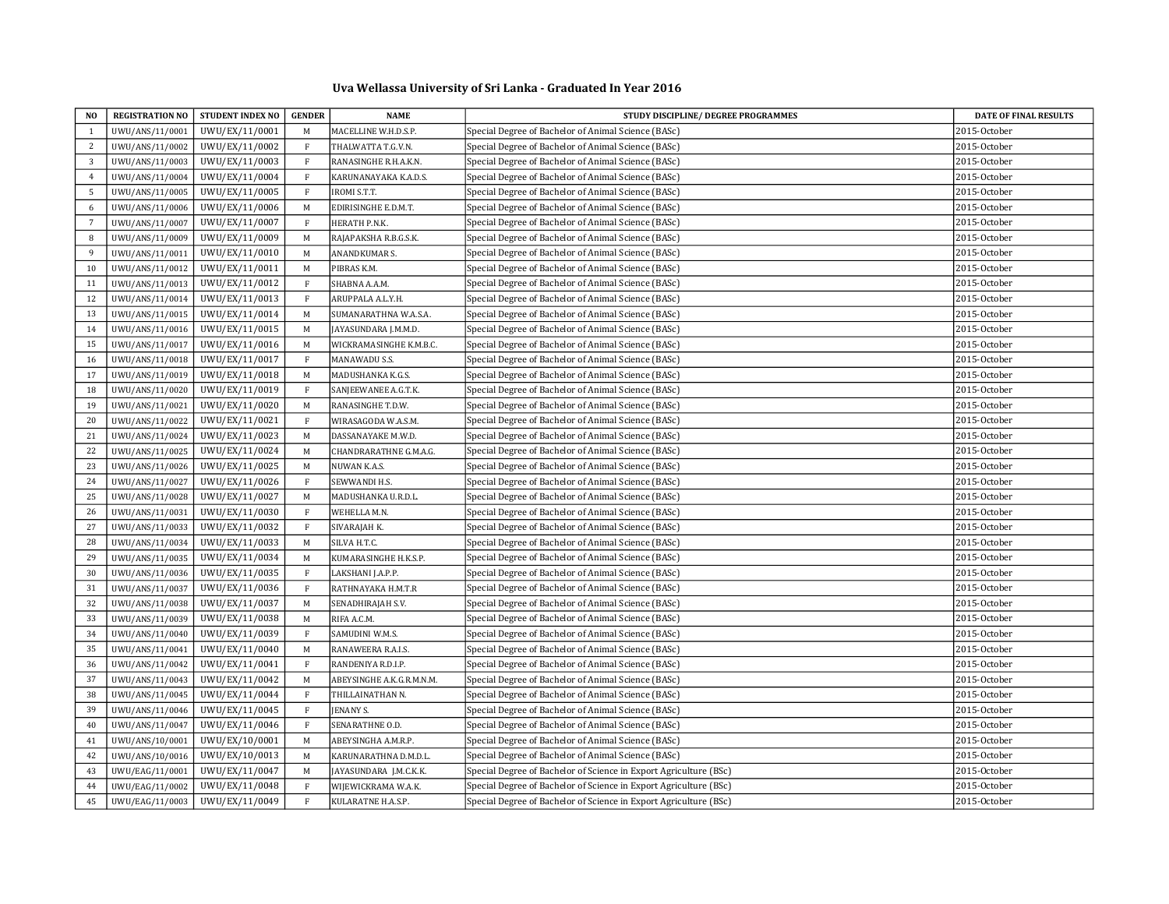## Uva Wellassa University of Sri Lanka - Graduated In Year 2016

| NO.             |                 | REGISTRATION NO STUDENT INDEX NO | <b>GENDER</b> | <b>NAME</b>               | STUDY DISCIPLINE/ DEGREE PROGRAMMES                               | <b>DATE OF FINAL RESULTS</b> |
|-----------------|-----------------|----------------------------------|---------------|---------------------------|-------------------------------------------------------------------|------------------------------|
| 1               | UWU/ANS/11/0001 | UWU/EX/11/0001                   | M             | MACELLINE W.H.D.S.P.      | Special Degree of Bachelor of Animal Science (BASc)               | 2015-October                 |
| 2               | UWU/ANS/11/0002 | UWU/EX/11/0002                   | F             | THALWATTA T.G.V.N.        | Special Degree of Bachelor of Animal Science (BASc)               | 2015-October                 |
| $\overline{3}$  | UWU/ANS/11/0003 | UWU/EX/11/0003                   | $\rm F$       | RANASINGHE R.H.A.K.N.     | Special Degree of Bachelor of Animal Science (BASc)               | 2015-October                 |
| $\overline{4}$  | UWU/ANS/11/0004 | UWU/EX/11/0004                   | F             | KARUNANAYAKA K.A.D.S.     | Special Degree of Bachelor of Animal Science (BASc)               | 2015-October                 |
| 5               | UWU/ANS/11/0005 | UWU/EX/11/0005                   | $\mathbf{F}$  | IROMI S.T.T.              | Special Degree of Bachelor of Animal Science (BASc)               | 2015-October                 |
| 6               | UWU/ANS/11/0006 | UWU/EX/11/0006                   | $\mathbf M$   | EDIRISINGHE E.D.M.T.      | Special Degree of Bachelor of Animal Science (BASc)               | 2015-October                 |
| $7\overline{ }$ | UWU/ANS/11/0007 | UWU/EX/11/0007                   | $\rm F$       | HERATH P.N.K.             | Special Degree of Bachelor of Animal Science (BASc)               | 2015-October                 |
| 8               | UWU/ANS/11/0009 | UWU/EX/11/0009                   | M             | RAJAPAKSHA R.B.G.S.K.     | Special Degree of Bachelor of Animal Science (BASc)               | 2015-October                 |
| 9               | UWU/ANS/11/0011 | UWU/EX/11/0010                   | M             | ANANDKUMAR S.             | Special Degree of Bachelor of Animal Science (BASc)               | 2015-October                 |
| 10              | UWU/ANS/11/0012 | UWU/EX/11/0011                   | $\mathbf M$   | PIBRAS K.M.               | Special Degree of Bachelor of Animal Science (BASc)               | 2015-October                 |
| 11              | UWU/ANS/11/0013 | UWU/EX/11/0012                   | $\rm F$       | SHABNA A.A.M.             | Special Degree of Bachelor of Animal Science (BASc)               | 2015-October                 |
| 12              | UWU/ANS/11/0014 | UWU/EX/11/0013                   | $\rm F$       | ARUPPALA A.L.Y.H.         | Special Degree of Bachelor of Animal Science (BASc)               | 2015-October                 |
| 13              | UWU/ANS/11/0015 | UWU/EX/11/0014                   | $\mathbf M$   | SUMANARATHNA W.A.S.A.     | Special Degree of Bachelor of Animal Science (BASc)               | 2015-October                 |
| 14              | UWU/ANS/11/0016 | UWU/EX/11/0015                   | M             | JAYASUNDARA J.M.M.D.      | Special Degree of Bachelor of Animal Science (BASc)               | 2015-October                 |
| 15              | UWU/ANS/11/0017 | UWU/EX/11/0016                   | $\mathbf M$   | WICKRAMASINGHE K.M.B.C.   | Special Degree of Bachelor of Animal Science (BASc)               | 2015-October                 |
| 16              | UWU/ANS/11/0018 | UWU/EX/11/0017                   | $\rm F$       | MANAWADU S.S.             | Special Degree of Bachelor of Animal Science (BASc)               | 2015-October                 |
| 17              | UWU/ANS/11/0019 | UWU/EX/11/0018                   | M             | MADUSHANKA K.G.S.         | Special Degree of Bachelor of Animal Science (BASc)               | 2015-October                 |
| 18              | UWU/ANS/11/0020 | UWU/EX/11/0019                   | $\mathbf{F}$  | SANJEEWANEE A.G.T.K.      | Special Degree of Bachelor of Animal Science (BASc)               | 2015-October                 |
| 19              | UWU/ANS/11/0021 | UWU/EX/11/0020                   | M             | RANASINGHE T.D.W.         | Special Degree of Bachelor of Animal Science (BASc)               | 2015-October                 |
| 20              | UWU/ANS/11/0022 | UWU/EX/11/0021                   | $\rm F$       | WIRASAGODA W.A.S.M.       | Special Degree of Bachelor of Animal Science (BASc)               | 2015-October                 |
| 21              | UWU/ANS/11/0024 | UWU/EX/11/0023                   | M             | DASSANAYAKE M.W.D.        | Special Degree of Bachelor of Animal Science (BASc)               | 2015-October                 |
| 22              | UWU/ANS/11/0025 | UWU/EX/11/0024                   | M             | CHANDRARATHNE G.M.A.G.    | Special Degree of Bachelor of Animal Science (BASc)               | 2015-October                 |
| 23              | UWU/ANS/11/0026 | UWU/EX/11/0025                   | M             | NUWAN K.A.S.              | Special Degree of Bachelor of Animal Science (BASc)               | 2015-October                 |
| 24              | UWU/ANS/11/0027 | UWU/EX/11/0026                   | $\mathbf{F}$  | SEWWANDI H.S.             | Special Degree of Bachelor of Animal Science (BASc)               | 2015-October                 |
| 25              | UWU/ANS/11/0028 | UWU/EX/11/0027                   | $\mathbf M$   | MADUSHANKA U.R.D.L.       | Special Degree of Bachelor of Animal Science (BASc)               | 2015-October                 |
| 26              | UWU/ANS/11/0031 | UWU/EX/11/0030                   | $\,$ F        | WEHELLA M.N.              | Special Degree of Bachelor of Animal Science (BASc)               | 2015-October                 |
| 27              | UWU/ANS/11/0033 | UWU/EX/11/0032                   | $\mathbf{F}$  | SIVARAJAH K.              | Special Degree of Bachelor of Animal Science (BASc)               | 2015-October                 |
| 28              | UWU/ANS/11/0034 | UWU/EX/11/0033                   | M             | SILVA H.T.C.              | Special Degree of Bachelor of Animal Science (BASc)               | 2015-October                 |
| 29              | UWU/ANS/11/0035 | UWU/EX/11/0034                   | M             | KUMARASINGHE H.K.S.P.     | Special Degree of Bachelor of Animal Science (BASc)               | 2015-October                 |
| 30              | UWU/ANS/11/0036 | UWU/EX/11/0035                   | $\mathbf{F}$  | LAKSHANI J.A.P.P.         | Special Degree of Bachelor of Animal Science (BASc)               | 2015-October                 |
| 31              | UWU/ANS/11/0037 | UWU/EX/11/0036                   | $\rm F$       | RATHNAYAKA H.M.T.R        | Special Degree of Bachelor of Animal Science (BASc)               | 2015-October                 |
| 32              | UWU/ANS/11/0038 | UWU/EX/11/0037                   | $\mathbf M$   | SENADHIRAJAH S.V.         | Special Degree of Bachelor of Animal Science (BASc)               | 2015-October                 |
| 33              | UWU/ANS/11/0039 | UWU/EX/11/0038                   | M             | RIFA A.C.M.               | Special Degree of Bachelor of Animal Science (BASc)               | 2015-October                 |
| 34              | UWU/ANS/11/0040 | UWU/EX/11/0039                   | $\mathbf{F}$  | SAMUDINI W.M.S.           | Special Degree of Bachelor of Animal Science (BASc)               | 2015-October                 |
| 35              | UWU/ANS/11/0041 | UWU/EX/11/0040                   | $\mathbf M$   | RANAWEERA R.A.I.S.        | Special Degree of Bachelor of Animal Science (BASc)               | 2015-October                 |
| 36              | UWU/ANS/11/0042 | UWU/EX/11/0041                   | $\rm F$       | RANDENIYA R.D.I.P.        | Special Degree of Bachelor of Animal Science (BASc)               | 2015-October                 |
| 37              | UWU/ANS/11/0043 | UWU/EX/11/0042                   | $\mathbf M$   | ABEYSINGHE A.K.G.R.M.N.M. | Special Degree of Bachelor of Animal Science (BASc)               | 2015-October                 |
| 38              | UWU/ANS/11/0045 | UWU/EX/11/0044                   | $\mathbf{F}$  | THILLAINATHAN N.          | Special Degree of Bachelor of Animal Science (BASc)               | 2015-October                 |
| 39              | UWU/ANS/11/0046 | UWU/EX/11/0045                   | $\mathbf{F}$  | JENANY S.                 | Special Degree of Bachelor of Animal Science (BASc)               | 2015-October                 |
| 40              | UWU/ANS/11/0047 | UWU/EX/11/0046                   | $\mathbf{F}$  | SENARATHNE O.D.           | Special Degree of Bachelor of Animal Science (BASc)               | 2015-October                 |
| 41              | UWU/ANS/10/0001 | UWU/EX/10/0001                   | M             | ABEYSINGHA A.M.R.P.       | Special Degree of Bachelor of Animal Science (BASc)               | 2015-October                 |
| 42              | UWU/ANS/10/0016 | UWU/EX/10/0013                   | $\mathbf M$   | KARUNARATHNA D.M.D.L.     | Special Degree of Bachelor of Animal Science (BASc)               | 2015-October                 |
| 43              | UWU/EAG/11/0001 | UWU/EX/11/0047                   | M             | JAYASUNDARA J.M.C.K.K.    | Special Degree of Bachelor of Science in Export Agriculture (BSc) | 2015-October                 |
| 44              | UWU/EAG/11/0002 | UWU/EX/11/0048                   | $\rm F$       | WIJEWICKRAMA W.A.K.       | Special Degree of Bachelor of Science in Export Agriculture (BSc) | 2015-October                 |
| 45              | UWU/EAG/11/0003 | UWU/EX/11/0049                   | $\rm F$       | KULARATNE H.A.S.P.        | Special Degree of Bachelor of Science in Export Agriculture (BSc) | 2015-October                 |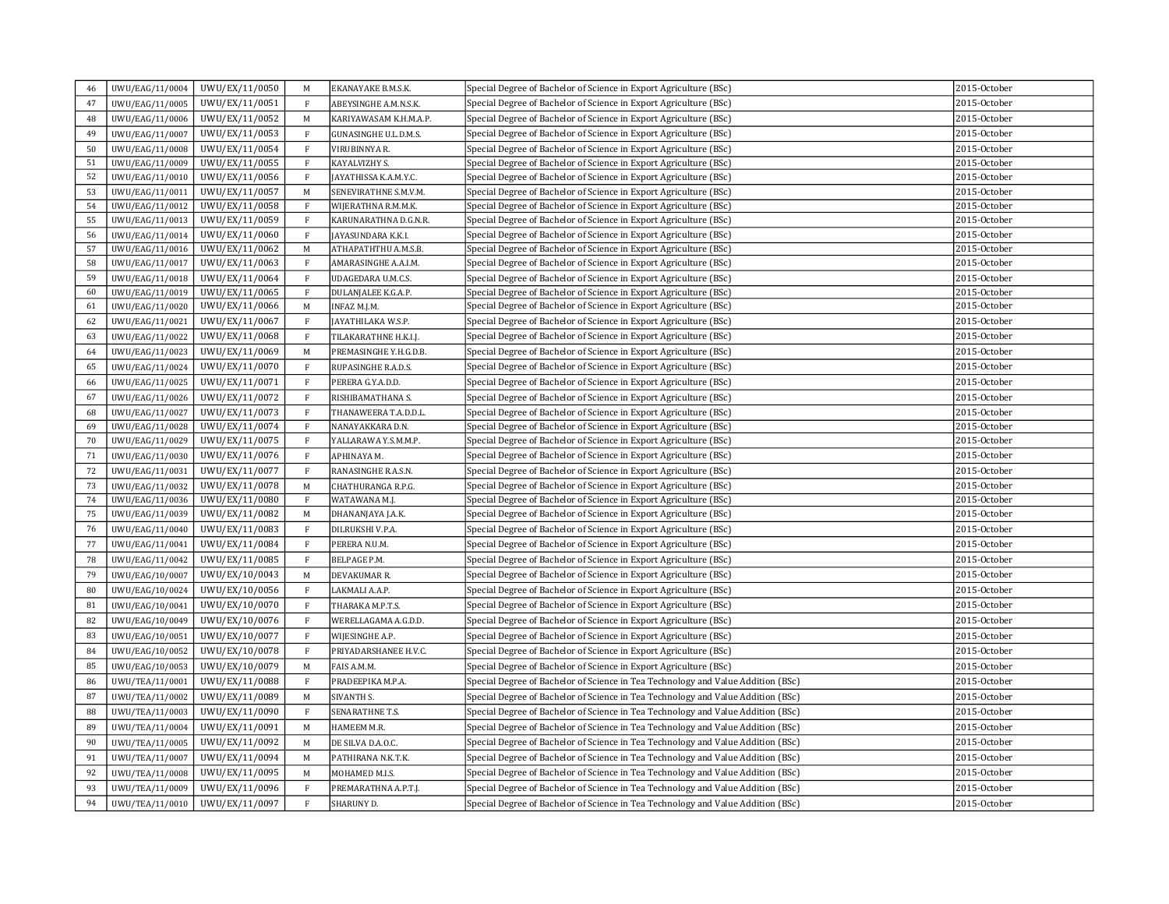| 46 | UWU/EAG/11/0004 | UWU/EX/11/0050 | M            | EKANAYAKE B.M.S.K.     | Special Degree of Bachelor of Science in Export Agriculture (BSc)                | 2015-October |
|----|-----------------|----------------|--------------|------------------------|----------------------------------------------------------------------------------|--------------|
| 47 | UWU/EAG/11/0005 | UWU/EX/11/0051 | F            | ABEYSINGHE A.M.N.S.K.  | Special Degree of Bachelor of Science in Export Agriculture (BSc)                | 2015-October |
| 48 | UWU/EAG/11/0006 | UWU/EX/11/0052 | M            | KARIYAWASAM K.H.M.A.P. | Special Degree of Bachelor of Science in Export Agriculture (BSc)                | 2015-October |
| 49 | UWU/EAG/11/0007 | UWU/EX/11/0053 | $\mathbf F$  | GUNASINGHE U.L.D.M.S.  | Special Degree of Bachelor of Science in Export Agriculture (BSc)                | 2015-October |
| 50 | UWU/EAG/11/0008 | UWU/EX/11/0054 | $\mathbf F$  | VIRUBINNYA R.          | Special Degree of Bachelor of Science in Export Agriculture (BSc)                | 2015-October |
| 51 | UWU/EAG/11/0009 | UWU/EX/11/0055 | F            | KAYALVIZHY S.          | Special Degree of Bachelor of Science in Export Agriculture (BSc)                | 2015-October |
| 52 | UWU/EAG/11/0010 | UWU/EX/11/0056 | $\mathbf{F}$ | JAYATHISSA K.A.M.Y.C.  | Special Degree of Bachelor of Science in Export Agriculture (BSc)                | 2015-October |
| 53 | UWU/EAG/11/0011 | UWU/EX/11/0057 | M            | SENEVIRATHNE S.M.V.M.  | Special Degree of Bachelor of Science in Export Agriculture (BSc)                | 2015-October |
| 54 | UWU/EAG/11/0012 | UWU/EX/11/0058 | F            | WIJERATHNA R.M.M.K.    | Special Degree of Bachelor of Science in Export Agriculture (BSc)                | 2015-October |
| 55 | UWU/EAG/11/0013 | UWU/EX/11/0059 | $\mathbf{F}$ | KARUNARATHNA D.G.N.R.  | Special Degree of Bachelor of Science in Export Agriculture (BSc)                | 2015-October |
| 56 | UWU/EAG/11/0014 | UWU/EX/11/0060 | $\mathbf{F}$ | JAYASUNDARA K.K.I.     | Special Degree of Bachelor of Science in Export Agriculture (BSc)                | 2015-October |
| 57 | UWU/EAG/11/0016 | UWU/EX/11/0062 | M            | ATHAPATHTHU A.M.S.B.   | Special Degree of Bachelor of Science in Export Agriculture (BSc)                | 2015-October |
| 58 | UWU/EAG/11/0017 | UWU/EX/11/0063 | $\mathbf{F}$ | AMARASINGHE A.A.I.M.   | Special Degree of Bachelor of Science in Export Agriculture (BSc)                | 2015-October |
| 59 | UWU/EAG/11/0018 | UWU/EX/11/0064 | $\mathbf{F}$ | UDAGEDARA U.M.C.S.     | Special Degree of Bachelor of Science in Export Agriculture (BSc)                | 2015-October |
| 60 | UWU/EAG/11/0019 | UWU/EX/11/0065 | F            | DULANJALEE K.G.A.P.    | Special Degree of Bachelor of Science in Export Agriculture (BSc)                | 2015-October |
| 61 | UWU/EAG/11/0020 | UWU/EX/11/0066 | M            | INFAZ M.J.M.           | Special Degree of Bachelor of Science in Export Agriculture (BSc)                | 2015-October |
| 62 | UWU/EAG/11/0021 | UWU/EX/11/0067 | $\mathbf{F}$ | JAYATHILAKA W.S.P.     | Special Degree of Bachelor of Science in Export Agriculture (BSc)                | 2015-October |
| 63 | UWU/EAG/11/0022 | UWU/EX/11/0068 | $\mathbf{F}$ | TILAKARATHNE H.K.I.J.  | Special Degree of Bachelor of Science in Export Agriculture (BSc)                | 2015-October |
| 64 | UWU/EAG/11/0023 | UWU/EX/11/0069 | $\mathbf M$  | PREMASINGHE Y.H.G.D.B. | Special Degree of Bachelor of Science in Export Agriculture (BSc)                | 2015-October |
| 65 | UWU/EAG/11/0024 | UWU/EX/11/0070 | $\mathbf{F}$ | RUPASINGHE R.A.D.S.    | Special Degree of Bachelor of Science in Export Agriculture (BSc)                | 2015-October |
| 66 | UWU/EAG/11/0025 | UWU/EX/11/0071 | $\mathbf{F}$ | PERERA G.Y.A.D.D.      | Special Degree of Bachelor of Science in Export Agriculture (BSc)                | 2015-October |
| 67 | UWU/EAG/11/0026 | UWU/EX/11/0072 | F            | RISHIBAMATHANA S.      | Special Degree of Bachelor of Science in Export Agriculture (BSc)                | 2015-October |
| 68 | UWU/EAG/11/0027 | UWU/EX/11/0073 | $\mathbf{F}$ | THANAWEERA T.A.D.D.L.  | Special Degree of Bachelor of Science in Export Agriculture (BSc)                | 2015-October |
| 69 | UWU/EAG/11/0028 | UWU/EX/11/0074 | F            | NANAYAKKARA D.N.       | Special Degree of Bachelor of Science in Export Agriculture (BSc)                | 2015-October |
| 70 | UWU/EAG/11/0029 | UWU/EX/11/0075 | $\mathbf F$  | YALLARAWA Y.S.M.M.P.   | Special Degree of Bachelor of Science in Export Agriculture (BSc)                | 2015-October |
| 71 | UWU/EAG/11/0030 | UWU/EX/11/0076 | $\mathbf{F}$ | APHINAYA M.            | Special Degree of Bachelor of Science in Export Agriculture (BSc)                | 2015-October |
| 72 | UWU/EAG/11/0031 | UWU/EX/11/0077 | $\mathbf{F}$ | RANASINGHE R.A.S.N.    | Special Degree of Bachelor of Science in Export Agriculture (BSc)                | 2015-October |
| 73 | UWU/EAG/11/0032 | UWU/EX/11/0078 | $\mathbf M$  | CHATHURANGA R.P.G.     | Special Degree of Bachelor of Science in Export Agriculture (BSc)                | 2015-October |
| 74 | UWU/EAG/11/0036 | UWU/EX/11/0080 | $\mathbf{F}$ | WATAWANA M.J.          | Special Degree of Bachelor of Science in Export Agriculture (BSc)                | 2015-October |
| 75 | UWU/EAG/11/0039 | UWU/EX/11/0082 | M            | DHANANJAYA J.A.K.      | Special Degree of Bachelor of Science in Export Agriculture (BSc)                | 2015-October |
| 76 | UWU/EAG/11/0040 | UWU/EX/11/0083 | $\mathbf{F}$ | DILRUKSHI V.P.A.       | Special Degree of Bachelor of Science in Export Agriculture (BSc)                | 2015-October |
| 77 | UWU/EAG/11/0041 | UWU/EX/11/0084 | $\mathbf F$  | PERERA N.U.M.          | Special Degree of Bachelor of Science in Export Agriculture (BSc)                | 2015-October |
| 78 | UWU/EAG/11/0042 | UWU/EX/11/0085 | $\mathbf{F}$ | <b>BELPAGE P.M.</b>    | Special Degree of Bachelor of Science in Export Agriculture (BSc)                | 2015-October |
| 79 | UWU/EAG/10/0007 | UWU/EX/10/0043 | $\mathbf M$  | DEVAKUMAR R.           | Special Degree of Bachelor of Science in Export Agriculture (BSc)                | 2015-October |
| 80 | UWU/EAG/10/0024 | UWU/EX/10/0056 | $\mathbf{F}$ | LAKMALI A.A.P.         | Special Degree of Bachelor of Science in Export Agriculture (BSc)                | 2015-October |
| 81 | UWU/EAG/10/0041 | UWU/EX/10/0070 | $\, {\rm F}$ | THARAKA M.P.T.S.       | Special Degree of Bachelor of Science in Export Agriculture (BSc)                | 2015-October |
| 82 | UWU/EAG/10/0049 | UWU/EX/10/0076 | $\mathbf{F}$ | WERELLAGAMA A.G.D.D.   | Special Degree of Bachelor of Science in Export Agriculture (BSc)                | 2015-October |
| 83 | UWU/EAG/10/0051 | UWU/EX/10/0077 | $\mathbf{F}$ | WIJESINGHE A.P.        | Special Degree of Bachelor of Science in Export Agriculture (BSc)                | 2015-October |
| 84 | UWU/EAG/10/0052 | UWU/EX/10/0078 | $\mathbf{F}$ | PRIYADARSHANEE H.V.C.  | Special Degree of Bachelor of Science in Export Agriculture (BSc)                | 2015-October |
| 85 | UWU/EAG/10/0053 | UWU/EX/10/0079 | M            | FAIS A.M.M.            | Special Degree of Bachelor of Science in Export Agriculture (BSc)                | 2015-October |
| 86 | UWU/TEA/11/0001 | UWU/EX/11/0088 | $\mathbf F$  | PRADEEPIKA M.P.A.      | Special Degree of Bachelor of Science in Tea Technology and Value Addition (BSc) | 2015-October |
| 87 | UWU/TEA/11/0002 | UWU/EX/11/0089 | M            | SIVANTH S.             | Special Degree of Bachelor of Science in Tea Technology and Value Addition (BSc) | 2015-October |
| 88 | UWU/TEA/11/0003 | UWU/EX/11/0090 | $\mathbf{F}$ | SENARATHNE T.S.        | Special Degree of Bachelor of Science in Tea Technology and Value Addition (BSc) | 2015-October |
| 89 | UWU/TEA/11/0004 | UWU/EX/11/0091 | M            | HAMEEM M.R.            | Special Degree of Bachelor of Science in Tea Technology and Value Addition (BSc) | 2015-October |
| 90 | UWU/TEA/11/0005 | UWU/EX/11/0092 | M            | DE SILVA D.A.O.C.      | Special Degree of Bachelor of Science in Tea Technology and Value Addition (BSc) | 2015-October |
| 91 | UWU/TEA/11/0007 | UWU/EX/11/0094 | M            | PATHIRANA N.K.T.K.     | Special Degree of Bachelor of Science in Tea Technology and Value Addition (BSc) | 2015-October |
| 92 | UWU/TEA/11/0008 | UWU/EX/11/0095 | M            | MOHAMED M.I.S.         | Special Degree of Bachelor of Science in Tea Technology and Value Addition (BSc) | 2015-October |
| 93 | UWU/TEA/11/0009 | UWU/EX/11/0096 | $\mathbf{F}$ | PREMARATHNA A.P.T.J.   | Special Degree of Bachelor of Science in Tea Technology and Value Addition (BSc) | 2015-October |
|    |                 |                |              |                        |                                                                                  |              |
| 94 | UWU/TEA/11/0010 | UWU/EX/11/0097 | $\rm F$      | SHARUNY D.             | Special Degree of Bachelor of Science in Tea Technology and Value Addition (BSc) | 2015-October |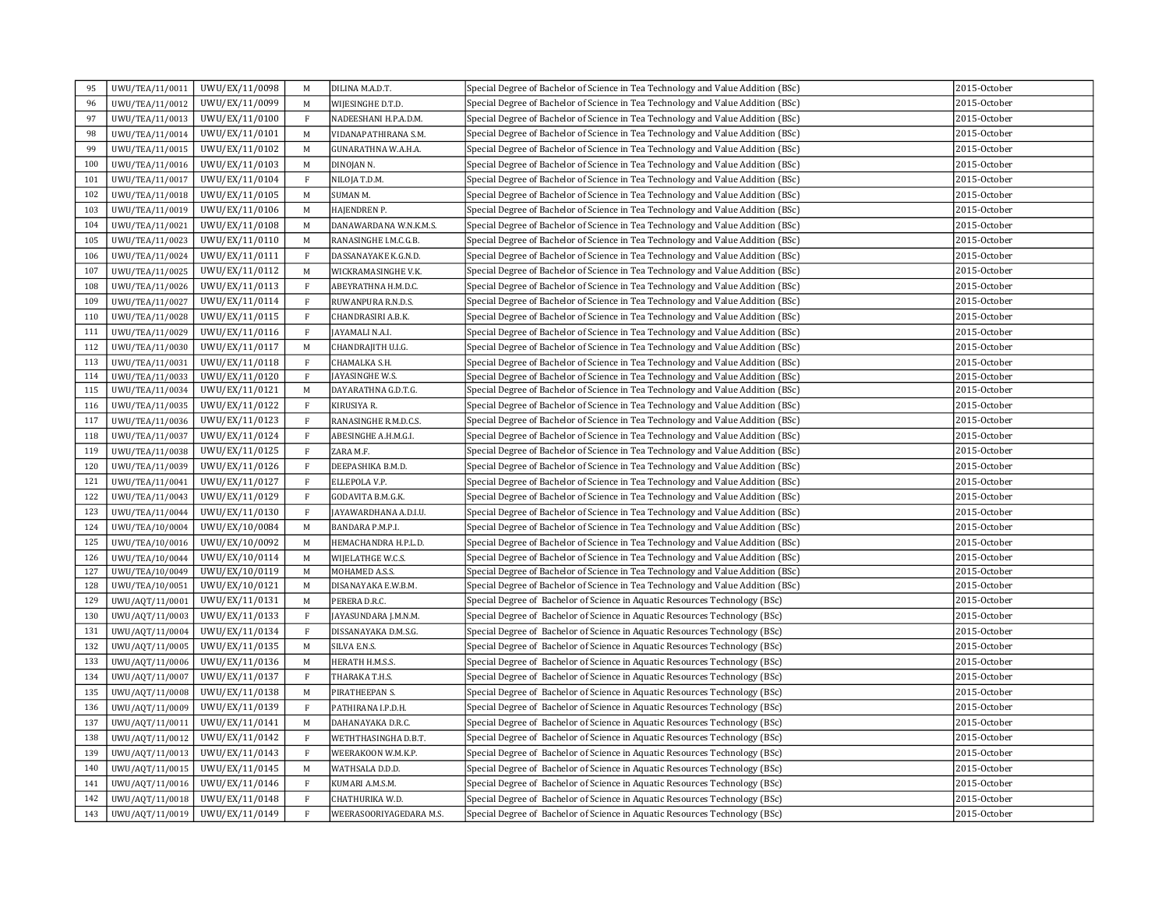| 95  | UWU/TEA/11/0011 | UWU/EX/11/0098 | M            | DILINA M.A.D.T.         | Special Degree of Bachelor of Science in Tea Technology and Value Addition (BSc) | 2015-October |
|-----|-----------------|----------------|--------------|-------------------------|----------------------------------------------------------------------------------|--------------|
| 96  | UWU/TEA/11/0012 | UWU/EX/11/0099 | $\mathbf M$  | WIJESINGHE D.T.D.       | Special Degree of Bachelor of Science in Tea Technology and Value Addition (BSc) | 2015-October |
| 97  | UWU/TEA/11/0013 | UWU/EX/11/0100 | $\rm F$      | NADEESHANI H.P.A.D.M.   | Special Degree of Bachelor of Science in Tea Technology and Value Addition (BSc) | 2015-October |
| 98  | UWU/TEA/11/0014 | UWU/EX/11/0101 | M            | VIDANAPATHIRANA S.M.    | Special Degree of Bachelor of Science in Tea Technology and Value Addition (BSc) | 2015-October |
| 99  | UWU/TEA/11/0015 | UWU/EX/11/0102 | M            | GUNARATHNA W.A.H.A.     | Special Degree of Bachelor of Science in Tea Technology and Value Addition (BSc) | 2015-October |
| 100 | UWU/TEA/11/0016 | UWU/EX/11/0103 | $\mathbf M$  | DINOJAN N.              | Special Degree of Bachelor of Science in Tea Technology and Value Addition (BSc) | 2015-October |
| 101 | UWU/TEA/11/0017 | UWU/EX/11/0104 | $\rm F$      | NILOJA T.D.M.           | Special Degree of Bachelor of Science in Tea Technology and Value Addition (BSc) | 2015-October |
| 102 | UWU/TEA/11/0018 | UWU/EX/11/0105 | M            | SUMAN M.                | Special Degree of Bachelor of Science in Tea Technology and Value Addition (BSc) | 2015-October |
| 103 | UWU/TEA/11/0019 | UWU/EX/11/0106 | M            | HAJENDREN P.            | Special Degree of Bachelor of Science in Tea Technology and Value Addition (BSc) | 2015-October |
| 104 | UWU/TEA/11/0021 | UWU/EX/11/0108 | M            | DANAWARDANA W.N.K.M.S.  | Special Degree of Bachelor of Science in Tea Technology and Value Addition (BSc) | 2015-October |
| 105 | UWU/TEA/11/0023 | UWU/EX/11/0110 | M            | RANASINGHE I.M.C.G.B.   | Special Degree of Bachelor of Science in Tea Technology and Value Addition (BSc) | 2015-October |
| 106 | UWU/TEA/11/0024 | UWU/EX/11/0111 | F            | DASSANAYAKE K.G.N.D.    | Special Degree of Bachelor of Science in Tea Technology and Value Addition (BSc) | 2015-October |
| 107 | UWU/TEA/11/0025 | UWU/EX/11/0112 | M            | WICKRAMASINGHE V.K.     | Special Degree of Bachelor of Science in Tea Technology and Value Addition (BSc) | 2015-October |
| 108 | UWU/TEA/11/0026 | UWU/EX/11/0113 | $\rm F$      | ABEYRATHNA H.M.D.C.     | Special Degree of Bachelor of Science in Tea Technology and Value Addition (BSc) | 2015-October |
| 109 | UWU/TEA/11/0027 | UWU/EX/11/0114 | $\mathbf{F}$ | RUWANPURA R.N.D.S.      | Special Degree of Bachelor of Science in Tea Technology and Value Addition (BSc) | 2015-October |
| 110 | UWU/TEA/11/0028 | UWU/EX/11/0115 | $\mathbf{F}$ | CHANDRASIRI A.B.K.      | Special Degree of Bachelor of Science in Tea Technology and Value Addition (BSc) | 2015-October |
| 111 | UWU/TEA/11/0029 | UWU/EX/11/0116 | $\,$ F       | AYAMALI N.A.I.          | Special Degree of Bachelor of Science in Tea Technology and Value Addition (BSc) | 2015-October |
| 112 | UWU/TEA/11/0030 | UWU/EX/11/0117 | M            | CHANDRAJITH U.I.G.      | Special Degree of Bachelor of Science in Tea Technology and Value Addition (BSc) | 2015-October |
| 113 | UWU/TEA/11/0031 | UWU/EX/11/0118 | $\mathbf{F}$ | CHAMALKA S.H.           | Special Degree of Bachelor of Science in Tea Technology and Value Addition (BSc) | 2015-October |
| 114 | UWU/TEA/11/0033 | UWU/EX/11/0120 | $\mathbf{F}$ | <b>AYASINGHE W.S.</b>   | Special Degree of Bachelor of Science in Tea Technology and Value Addition (BSc) | 2015-October |
| 115 | UWU/TEA/11/0034 | UWU/EX/11/0121 | M            | DAYARATHNA G.D.T.G.     | Special Degree of Bachelor of Science in Tea Technology and Value Addition (BSc) | 2015-October |
| 116 | UWU/TEA/11/0035 | UWU/EX/11/0122 | $\rm F$      | KIRUSIYA R.             | Special Degree of Bachelor of Science in Tea Technology and Value Addition (BSc) | 2015-October |
| 117 | UWU/TEA/11/0036 | UWU/EX/11/0123 | $\rm F$      | RANASINGHE R.M.D.C.S.   | Special Degree of Bachelor of Science in Tea Technology and Value Addition (BSc) | 2015-October |
| 118 | UWU/TEA/11/0037 | UWU/EX/11/0124 | $\rm F$      | ABESINGHE A.H.M.G.I.    | Special Degree of Bachelor of Science in Tea Technology and Value Addition (BSc) | 2015-October |
| 119 | UWU/TEA/11/0038 | UWU/EX/11/0125 | $\,$ F       | ZARA M.F.               | Special Degree of Bachelor of Science in Tea Technology and Value Addition (BSc) | 2015-October |
| 120 | UWU/TEA/11/0039 | UWU/EX/11/0126 | $\mathbf{F}$ | DEEPASHIKA B.M.D.       | Special Degree of Bachelor of Science in Tea Technology and Value Addition (BSc) | 2015-October |
| 121 | UWU/TEA/11/0041 | UWU/EX/11/0127 | $\,$ F       | ELLEPOLA V.P.           | Special Degree of Bachelor of Science in Tea Technology and Value Addition (BSc) | 2015-October |
| 122 | UWU/TEA/11/0043 | UWU/EX/11/0129 | $\mathbf{F}$ | GODAVITA B.M.G.K.       | Special Degree of Bachelor of Science in Tea Technology and Value Addition (BSc) | 2015-October |
| 123 | UWU/TEA/11/0044 | UWU/EX/11/0130 | $\mathbf{F}$ | AYAWARDHANA A.D.I.U.    | Special Degree of Bachelor of Science in Tea Technology and Value Addition (BSc) | 2015-October |
| 124 | UWU/TEA/10/0004 | UWU/EX/10/0084 | M            | BANDARA P.M.P.I.        | Special Degree of Bachelor of Science in Tea Technology and Value Addition (BSc) | 2015-October |
| 125 | UWU/TEA/10/0016 | UWU/EX/10/0092 | M            | HEMACHANDRA H.P.L.D.    | Special Degree of Bachelor of Science in Tea Technology and Value Addition (BSc) | 2015-October |
| 126 | UWU/TEA/10/0044 | UWU/EX/10/0114 | M            | WIJELATHGE W.C.S.       | Special Degree of Bachelor of Science in Tea Technology and Value Addition (BSc) | 2015-October |
| 127 | UWU/TEA/10/0049 | UWU/EX/10/0119 | M            | MOHAMED A.S.S.          | Special Degree of Bachelor of Science in Tea Technology and Value Addition (BSc) | 2015-October |
| 128 | UWU/TEA/10/0051 | UWU/EX/10/0121 | M            | DISANAYAKA E.W.B.M.     | Special Degree of Bachelor of Science in Tea Technology and Value Addition (BSc) | 2015-October |
| 129 | UWU/AQT/11/0001 | UWU/EX/11/0131 | M            | PERERA D.R.C.           | Special Degree of Bachelor of Science in Aquatic Resources Technology (BSc)      | 2015-October |
| 130 | UWU/AQT/11/0003 | UWU/EX/11/0133 | $\mathbf{F}$ | JAYASUNDARA J.M.N.M.    | Special Degree of Bachelor of Science in Aquatic Resources Technology (BSc)      | 2015-October |
| 131 | UWU/AQT/11/0004 | UWU/EX/11/0134 | $\mathbf{F}$ | DISSANAYAKA D.M.S.G.    | Special Degree of Bachelor of Science in Aquatic Resources Technology (BSc)      | 2015-October |
| 132 | UWU/AQT/11/0005 | UWU/EX/11/0135 | M            | SILVA E.N.S.            | Special Degree of Bachelor of Science in Aquatic Resources Technology (BSc)      | 2015-October |
| 133 | UWU/AQT/11/0006 | UWU/EX/11/0136 | M            | HERATH H.M.S.S.         | Special Degree of Bachelor of Science in Aquatic Resources Technology (BSc)      | 2015-October |
| 134 | UWU/AQT/11/0007 | UWU/EX/11/0137 | $\mathbf{F}$ | THARAKA T.H.S.          | Special Degree of Bachelor of Science in Aquatic Resources Technology (BSc)      | 2015-October |
| 135 | UWU/AQT/11/0008 | UWU/EX/11/0138 | M            | PIRATHEEPAN S.          | Special Degree of Bachelor of Science in Aquatic Resources Technology (BSc)      | 2015-October |
| 136 | UWU/AQT/11/0009 | UWU/EX/11/0139 | $\mathbf{F}$ | PATHIRANA I.P.D.H.      | Special Degree of Bachelor of Science in Aquatic Resources Technology (BSc)      | 2015-October |
| 137 | UWU/AQT/11/0011 | UWU/EX/11/0141 | M            | DAHANAYAKA D.R.C.       | Special Degree of Bachelor of Science in Aquatic Resources Technology (BSc)      | 2015-October |
| 138 | UWU/AQT/11/0012 | UWU/EX/11/0142 | $\rm F$      | WETHTHASINGHA D.B.T.    | Special Degree of Bachelor of Science in Aquatic Resources Technology (BSc)      | 2015-October |
| 139 | UWU/AQT/11/0013 | UWU/EX/11/0143 | $\,$ F       | WEERAKOON W.M.K.P.      | Special Degree of Bachelor of Science in Aquatic Resources Technology (BSc)      | 2015-October |
| 140 | UWU/AQT/11/0015 | UWU/EX/11/0145 | M            | WATHSALA D.D.D.         | Special Degree of Bachelor of Science in Aquatic Resources Technology (BSc)      | 2015-October |
| 141 | UWU/AQT/11/0016 | UWU/EX/11/0146 | F            | KUMARI A.M.S.M.         | Special Degree of Bachelor of Science in Aquatic Resources Technology (BSc)      | 2015-October |
| 142 | UWU/AQT/11/0018 | UWU/EX/11/0148 | $\mathbf{F}$ | CHATHURIKA W.D.         | Special Degree of Bachelor of Science in Aquatic Resources Technology (BSc)      | 2015-October |
| 143 | UWU/AQT/11/0019 | UWU/EX/11/0149 | $\mathbf{F}$ | WEERASOORIYAGEDARA M.S. | Special Degree of Bachelor of Science in Aquatic Resources Technology (BSc)      | 2015-October |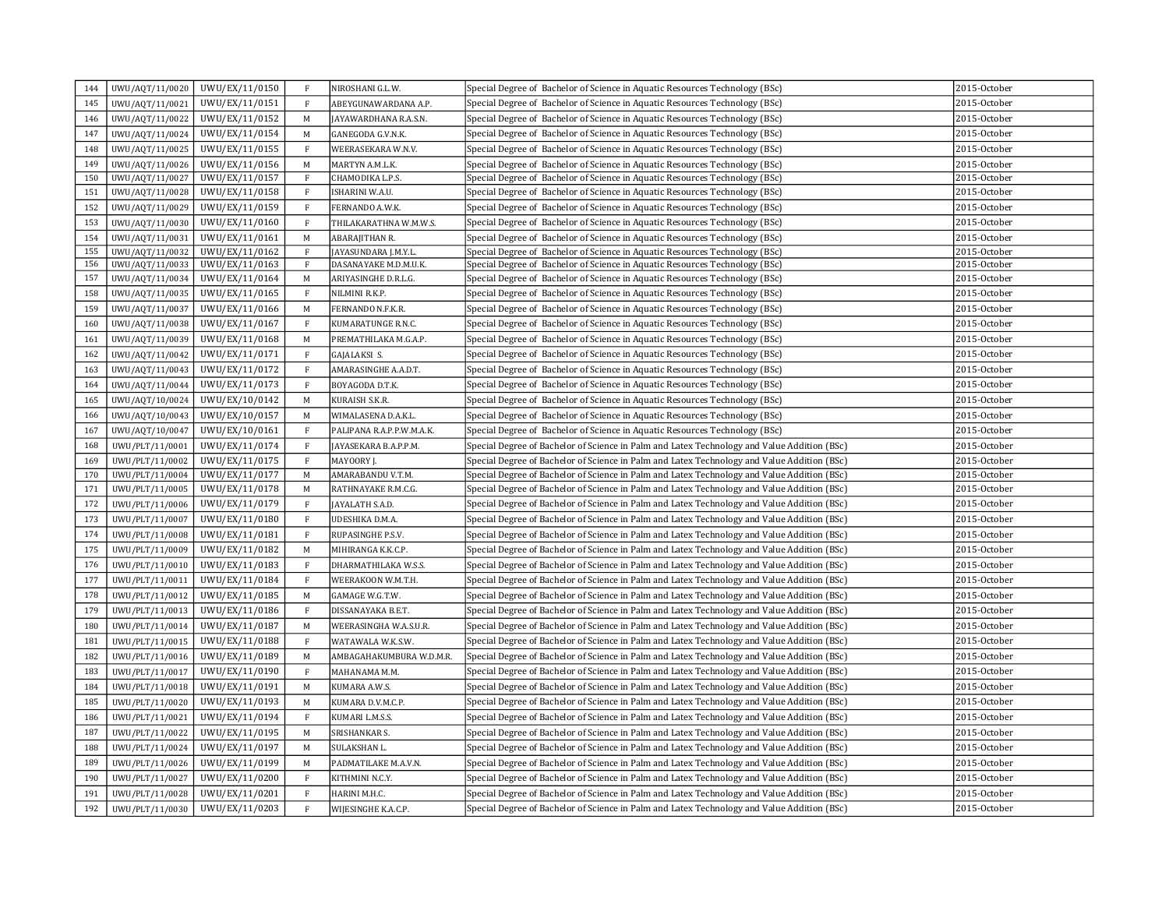| 145<br>UWU/AQT/11/0021<br>UWU/EX/11/0151<br>$\mathbf{F}$<br>Special Degree of Bachelor of Science in Aquatic Resources Technology (BSc)<br>2015-October<br>ABEYGUNAWARDANA A.P.<br>UWU/EX/11/0152<br>UWU/AQT/11/0022<br>M<br>JAYAWARDHANA R.A.S.N.<br>Special Degree of Bachelor of Science in Aquatic Resources Technology (BSc)<br>2015-October<br>146<br>147<br>UWU/AQT/11/0024<br>UWU/EX/11/0154<br>M<br>GANEGODA G.V.N.K.<br>Special Degree of Bachelor of Science in Aquatic Resources Technology (BSc)<br>2015-October<br>UWU/EX/11/0155<br>$\rm F$<br>Special Degree of Bachelor of Science in Aquatic Resources Technology (BSc)<br>2015-October<br>148<br>UWU/AQT/11/0025<br>WEERASEKARA W.N.V.<br>149<br>UWU/AQT/11/0026<br>UWU/EX/11/0156<br>$\mathbf M$<br>Special Degree of Bachelor of Science in Aquatic Resources Technology (BSc)<br>2015-October<br>MARTYN A.M.L.K.<br>150<br>UWU/AQT/11/0027<br>UWU/EX/11/0157<br>Special Degree of Bachelor of Science in Aquatic Resources Technology (BSc)<br>2015-October<br>$\mathbf{F}$<br>CHAMODIKA L.P.S.<br>UWU/EX/11/0158<br>$\mathbf{F}$<br>Special Degree of Bachelor of Science in Aquatic Resources Technology (BSc)<br>2015-October<br>151<br>UWU/AQT/11/0028<br>ISHARINI W.A.U.<br>152<br>UWU/AQT/11/0029<br>UWU/EX/11/0159<br>Special Degree of Bachelor of Science in Aquatic Resources Technology (BSc)<br>2015-October<br>$\,$ F<br>FERNANDO A.W.K.<br>UWU/EX/11/0160<br>2015-October<br>153<br>UWU/AQT/11/0030<br>F<br>THILAKARATHNA W.M.W.S.<br>Special Degree of Bachelor of Science in Aquatic Resources Technology (BSc)<br>154<br>UWU/AQT/11/0031<br>UWU/EX/11/0161<br>2015-October<br>M<br>Special Degree of Bachelor of Science in Aquatic Resources Technology (BSc)<br>ABARAJITHAN R.<br>155<br>UWU/EX/11/0162<br>UWU/AQT/11/0032<br>F<br>JAYASUNDARA J.M.Y.L.<br>Special Degree of Bachelor of Science in Aquatic Resources Technology (BSc)<br>2015-October<br>156<br>UWU/AQT/11/0033<br>UWU/EX/11/0163<br>$\mathbf{F}$<br>DASANAYAKE M.D.M.U.K.<br>Special Degree of Bachelor of Science in Aquatic Resources Technology (BSc)<br>2015-October<br>157<br>UWU/EX/11/0164<br>Special Degree of Bachelor of Science in Aquatic Resources Technology (BSc)<br>2015-October<br>UWU/AQT/11/0034<br>M<br>ARIYASINGHE D.R.L.G.<br>UWU/AQT/11/0035<br>UWU/EX/11/0165<br>$\mathbf{F}$<br>NILMINI R.K.P.<br>Special Degree of Bachelor of Science in Aquatic Resources Technology (BSc)<br>2015-October<br>158<br>159<br>UWU/AQT/11/0037<br>UWU/EX/11/0166<br>Special Degree of Bachelor of Science in Aquatic Resources Technology (BSc)<br>2015-October<br>M<br>FERNANDO N.F.K.R.<br>UWU/AQT/11/0038<br>UWU/EX/11/0167<br>$\rm F$<br>KUMARATUNGE R.N.C.<br>Special Degree of Bachelor of Science in Aquatic Resources Technology (BSc)<br>2015-October<br>160<br>161<br>UWU/AQT/11/0039<br>UWU/EX/11/0168<br>Special Degree of Bachelor of Science in Aquatic Resources Technology (BSc)<br>2015-October<br>M<br>PREMATHILAKA M.G.A.P.<br>$\mathbf{F}$<br>UWU/AQT/11/0042<br>UWU/EX/11/0171<br>Special Degree of Bachelor of Science in Aquatic Resources Technology (BSc)<br>2015-October<br>162<br>GAJALAKSI S.<br>163<br>UWU/AQT/11/0043<br>UWU/EX/11/0172<br>$\mathbf{F}$<br>AMARASINGHE A.A.D.T.<br>Special Degree of Bachelor of Science in Aquatic Resources Technology (BSc)<br>2015-October<br>UWU/EX/11/0173<br>2015-October<br>UWU/AQT/11/0044<br>$\,$ F<br>BOYAGODA D.T.K.<br>Special Degree of Bachelor of Science in Aquatic Resources Technology (BSc)<br>164<br>165<br>UWU/AQT/10/0024<br>UWU/EX/10/0142<br>2015-October<br>M<br>KURAISH S.K.R.<br>Special Degree of Bachelor of Science in Aquatic Resources Technology (BSc)<br>UWU/EX/10/0157<br>UWU/AQT/10/0043<br>M<br>WIMALASENA D.A.K.L.<br>Special Degree of Bachelor of Science in Aquatic Resources Technology (BSc)<br>2015-October<br>166<br>167<br>UWU/AQT/10/0047<br>UWU/EX/10/0161<br>$\mathbf{F}$<br>PALIPANA R.A.P.P.W.M.A.K.<br>Special Degree of Bachelor of Science in Aquatic Resources Technology (BSc)<br>2015-October<br>UWU/EX/11/0174<br>Special Degree of Bachelor of Science in Palm and Latex Technology and Value Addition (BSc)<br>168<br>UWU/PLT/11/0001<br>$\mathbf{F}$<br>JAYASEKARA B.A.P.P.M.<br>2015-October<br>169<br>UWU/PLT/11/0002<br>UWU/EX/11/0175<br>F<br>Special Degree of Bachelor of Science in Palm and Latex Technology and Value Addition (BSc)<br>2015-October<br>MAYOORY J.<br>170<br>UWU/PLT/11/0004<br>UWU/EX/11/0177<br>M<br>AMARABANDU V.T.M.<br>Special Degree of Bachelor of Science in Palm and Latex Technology and Value Addition (BSc)<br>2015-October<br>UWU/PLT/11/0005<br>UWU/EX/11/0178<br>RATHNAYAKE R.M.C.G.<br>Special Degree of Bachelor of Science in Palm and Latex Technology and Value Addition (BSc)<br>2015-October<br>171<br>M<br>UWU/EX/11/0179<br>Special Degree of Bachelor of Science in Palm and Latex Technology and Value Addition (BSc)<br>2015-October<br>172<br>UWU/PLT/11/0006<br>$\mathbf{F}$<br>JAYALATH S.A.D.<br>UWU/PLT/11/0007<br>UWU/EX/11/0180<br>F<br>Special Degree of Bachelor of Science in Palm and Latex Technology and Value Addition (BSc)<br>2015-October<br>173<br>UDESHIKA D.M.A.<br>174<br>UWU/PLT/11/0008<br>UWU/EX/11/0181<br>$\mathbf{F}$<br>RUPASINGHE P.S.V.<br>Special Degree of Bachelor of Science in Palm and Latex Technology and Value Addition (BSc)<br>2015-October<br>UWU/PLT/11/0009<br>UWU/EX/11/0182<br>Special Degree of Bachelor of Science in Palm and Latex Technology and Value Addition (BSc)<br>2015-October<br>175<br>M<br>MIHIRANGA K.K.C.P.<br>176<br>UWU/PLT/11/0010<br>UWU/EX/11/0183<br>$\mathbf{F}$<br>Special Degree of Bachelor of Science in Palm and Latex Technology and Value Addition (BSc)<br>2015-October<br>DHARMATHILAKA W.S.S.<br>$\mathbf{F}$<br>2015-October<br>UWU/PLT/11/0011<br>UWU/EX/11/0184<br>WEERAKOON W.M.T.H.<br>Special Degree of Bachelor of Science in Palm and Latex Technology and Value Addition (BSc)<br>177<br>Special Degree of Bachelor of Science in Palm and Latex Technology and Value Addition (BSc)<br>178<br>UWU/PLT/11/0012<br>UWU/EX/11/0185<br>M<br>2015-October<br>GAMAGE W.G.T.W.<br>UWU/EX/11/0186<br>$\mathbf{F}$<br>2015-October<br>179<br>UWU/PLT/11/0013<br>DISSANAYAKA B.E.T.<br>Special Degree of Bachelor of Science in Palm and Latex Technology and Value Addition (BSc)<br>UWU/PLT/11/0014<br>UWU/EX/11/0187<br>2015-October<br>180<br>M<br>WEERASINGHA W.A.S.U.R.<br>Special Degree of Bachelor of Science in Palm and Latex Technology and Value Addition (BSc)<br>UWU/PLT/11/0015<br>UWU/EX/11/0188<br>$\mathbf{F}$<br>WATAWALA W.K.S.W.<br>Special Degree of Bachelor of Science in Palm and Latex Technology and Value Addition (BSc)<br>2015-October<br>181<br>182<br>UWU/PLT/11/0016<br>UWU/EX/11/0189<br>M<br>AMBAGAHAKUMBURA W.D.M.R.<br>Special Degree of Bachelor of Science in Palm and Latex Technology and Value Addition (BSc)<br>2015-October<br>Special Degree of Bachelor of Science in Palm and Latex Technology and Value Addition (BSc)<br>UWU/PLT/11/0017<br>UWU/EX/11/0190<br>2015-October<br>183<br>$\mathbf{F}$<br>MAHANAMA M.M.<br>UWU/PLT/11/0018<br>UWU/EX/11/0191<br>2015-October<br>184<br>M<br>KUMARA A.W.S.<br>Special Degree of Bachelor of Science in Palm and Latex Technology and Value Addition (BSc)<br>185<br>UWU/PLT/11/0020<br>UWU/EX/11/0193<br>Special Degree of Bachelor of Science in Palm and Latex Technology and Value Addition (BSc)<br>2015-October<br>M<br>KUMARA D.V.M.C.P.<br>186<br>UWU/PLT/11/0021<br>UWU/EX/11/0194<br>$\,$ F<br>KUMARI L.M.S.S.<br>Special Degree of Bachelor of Science in Palm and Latex Technology and Value Addition (BSc)<br>2015-October<br>Special Degree of Bachelor of Science in Palm and Latex Technology and Value Addition (BSc)<br>187<br>UWU/PLT/11/0022<br>UWU/EX/11/0195<br>2015-October<br>$\mathbf M$<br>SRISHANKAR S.<br>UWU/EX/11/0197<br>2015-October<br>188<br>UWU/PLT/11/0024<br>M<br>SULAKSHAN L.<br>Special Degree of Bachelor of Science in Palm and Latex Technology and Value Addition (BSc)<br>Special Degree of Bachelor of Science in Palm and Latex Technology and Value Addition (BSc)<br>189<br>UWU/EX/11/0199<br>2015-October<br>UWU/PLT/11/0026<br>M<br>PADMATILAKE M.A.V.N.<br>UWU/PLT/11/0027<br>UWU/EX/11/0200<br>$\mathbf{F}$<br>KITHMINI N.C.Y.<br>Special Degree of Bachelor of Science in Palm and Latex Technology and Value Addition (BSc)<br>2015-October<br>190<br>UWU/EX/11/0201<br>Special Degree of Bachelor of Science in Palm and Latex Technology and Value Addition (BSc)<br>2015-October<br>191<br>UWU/PLT/11/0028<br>$\mathbf{F}$<br>HARINI M.H.C.<br>UWU/EX/11/0203<br>192<br>UWU/PLT/11/0030<br>$\mathbf F$<br>WIJESINGHE K.A.C.P.<br>Special Degree of Bachelor of Science in Palm and Latex Technology and Value Addition (BSc)<br>2015-October | 144 | UWU/AQT/11/0020 | UWU/EX/11/0150 | $\mathbf{F}$ | NIROSHANI G.L.W. | Special Degree of Bachelor of Science in Aquatic Resources Technology (BSc) | 2015-October |
|--------------------------------------------------------------------------------------------------------------------------------------------------------------------------------------------------------------------------------------------------------------------------------------------------------------------------------------------------------------------------------------------------------------------------------------------------------------------------------------------------------------------------------------------------------------------------------------------------------------------------------------------------------------------------------------------------------------------------------------------------------------------------------------------------------------------------------------------------------------------------------------------------------------------------------------------------------------------------------------------------------------------------------------------------------------------------------------------------------------------------------------------------------------------------------------------------------------------------------------------------------------------------------------------------------------------------------------------------------------------------------------------------------------------------------------------------------------------------------------------------------------------------------------------------------------------------------------------------------------------------------------------------------------------------------------------------------------------------------------------------------------------------------------------------------------------------------------------------------------------------------------------------------------------------------------------------------------------------------------------------------------------------------------------------------------------------------------------------------------------------------------------------------------------------------------------------------------------------------------------------------------------------------------------------------------------------------------------------------------------------------------------------------------------------------------------------------------------------------------------------------------------------------------------------------------------------------------------------------------------------------------------------------------------------------------------------------------------------------------------------------------------------------------------------------------------------------------------------------------------------------------------------------------------------------------------------------------------------------------------------------------------------------------------------------------------------------------------------------------------------------------------------------------------------------------------------------------------------------------------------------------------------------------------------------------------------------------------------------------------------------------------------------------------------------------------------------------------------------------------------------------------------------------------------------------------------------------------------------------------------------------------------------------------------------------------------------------------------------------------------------------------------------------------------------------------------------------------------------------------------------------------------------------------------------------------------------------------------------------------------------------------------------------------------------------------------------------------------------------------------------------------------------------------------------------------------------------------------------------------------------------------------------------------------------------------------------------------------------------------------------------------------------------------------------------------------------------------------------------------------------------------------------------------------------------------------------------------------------------------------------------------------------------------------------------------------------------------------------------------------------------------------------------------------------------------------------------------------------------------------------------------------------------------------------------------------------------------------------------------------------------------------------------------------------------------------------------------------------------------------------------------------------------------------------------------------------------------------------------------------------------------------------------------------------------------------------------------------------------------------------------------------------------------------------------------------------------------------------------------------------------------------------------------------------------------------------------------------------------------------------------------------------------------------------------------------------------------------------------------------------------------------------------------------------------------------------------------------------------------------------------------------------------------------------------------------------------------------------------------------------------------------------------------------------------------------------------------------------------------------------------------------------------------------------------------------------------------------------------------------------------------------------------------------------------------------------------------------------------------------------------------------------------------------------------------------------------------------------------------------------------------------------------------------------------------------------------------------------------------------------------------------------------------------------------------------------------------------------------------------------------------------------------------------------------------------------------------------------------------------------------------------------------------------------------------------------------------------------------------------------------------------------------------------------------------------------------------------------------------------------------------------------------------------------------------------------------------------------------------------------------------------------------------------------------------------------------------------------------------------------------------------------------------------------------------------------------------------------------------------------------------------------------------------------------------------------------------------------------------------------------------------------------------------------------------------------------------------------------------------------------------------------------------------------------------------------------------------------------------------------------------------------------------------------------------------------------------------------------------------------------------------------------------------------------------------------------------------------------------------------------------------------------------------------------------------------------------------------------------------------------------------------------------------------------------------------------------------------------------------------------------------------------------------------------------------------------------------------------------------------------------------------------------------------------------------------------------------------------------------------------------------------------------------------------------------------------------------------------------------------------------------------------------------------------------------------------------------------------------------------------------------------------------------------------|-----|-----------------|----------------|--------------|------------------|-----------------------------------------------------------------------------|--------------|
|                                                                                                                                                                                                                                                                                                                                                                                                                                                                                                                                                                                                                                                                                                                                                                                                                                                                                                                                                                                                                                                                                                                                                                                                                                                                                                                                                                                                                                                                                                                                                                                                                                                                                                                                                                                                                                                                                                                                                                                                                                                                                                                                                                                                                                                                                                                                                                                                                                                                                                                                                                                                                                                                                                                                                                                                                                                                                                                                                                                                                                                                                                                                                                                                                                                                                                                                                                                                                                                                                                                                                                                                                                                                                                                                                                                                                                                                                                                                                                                                                                                                                                                                                                                                                                                                                                                                                                                                                                                                                                                                                                                                                                                                                                                                                                                                                                                                                                                                                                                                                                                                                                                                                                                                                                                                                                                                                                                                                                                                                                                                                                                                                                                                                                                                                                                                                                                                                                                                                                                                                                                                                                                                                                                                                                                                                                                                                                                                                                                                                                                                                                                                                                                                                                                                                                                                                                                                                                                                                                                                                                                                                                                                                                                                                                                                                                                                                                                                                                                                                                                                                                                                                                                                                                                                                                                                                                                                                                                                                                                                                                                                                                                                                                                                                                                                                                                                                                                                                                                                                                                                                                                                                                                                                                                                                                                                                                                                                                                                      |     |                 |                |              |                  |                                                                             |              |
|                                                                                                                                                                                                                                                                                                                                                                                                                                                                                                                                                                                                                                                                                                                                                                                                                                                                                                                                                                                                                                                                                                                                                                                                                                                                                                                                                                                                                                                                                                                                                                                                                                                                                                                                                                                                                                                                                                                                                                                                                                                                                                                                                                                                                                                                                                                                                                                                                                                                                                                                                                                                                                                                                                                                                                                                                                                                                                                                                                                                                                                                                                                                                                                                                                                                                                                                                                                                                                                                                                                                                                                                                                                                                                                                                                                                                                                                                                                                                                                                                                                                                                                                                                                                                                                                                                                                                                                                                                                                                                                                                                                                                                                                                                                                                                                                                                                                                                                                                                                                                                                                                                                                                                                                                                                                                                                                                                                                                                                                                                                                                                                                                                                                                                                                                                                                                                                                                                                                                                                                                                                                                                                                                                                                                                                                                                                                                                                                                                                                                                                                                                                                                                                                                                                                                                                                                                                                                                                                                                                                                                                                                                                                                                                                                                                                                                                                                                                                                                                                                                                                                                                                                                                                                                                                                                                                                                                                                                                                                                                                                                                                                                                                                                                                                                                                                                                                                                                                                                                                                                                                                                                                                                                                                                                                                                                                                                                                                                                                      |     |                 |                |              |                  |                                                                             |              |
|                                                                                                                                                                                                                                                                                                                                                                                                                                                                                                                                                                                                                                                                                                                                                                                                                                                                                                                                                                                                                                                                                                                                                                                                                                                                                                                                                                                                                                                                                                                                                                                                                                                                                                                                                                                                                                                                                                                                                                                                                                                                                                                                                                                                                                                                                                                                                                                                                                                                                                                                                                                                                                                                                                                                                                                                                                                                                                                                                                                                                                                                                                                                                                                                                                                                                                                                                                                                                                                                                                                                                                                                                                                                                                                                                                                                                                                                                                                                                                                                                                                                                                                                                                                                                                                                                                                                                                                                                                                                                                                                                                                                                                                                                                                                                                                                                                                                                                                                                                                                                                                                                                                                                                                                                                                                                                                                                                                                                                                                                                                                                                                                                                                                                                                                                                                                                                                                                                                                                                                                                                                                                                                                                                                                                                                                                                                                                                                                                                                                                                                                                                                                                                                                                                                                                                                                                                                                                                                                                                                                                                                                                                                                                                                                                                                                                                                                                                                                                                                                                                                                                                                                                                                                                                                                                                                                                                                                                                                                                                                                                                                                                                                                                                                                                                                                                                                                                                                                                                                                                                                                                                                                                                                                                                                                                                                                                                                                                                                                      |     |                 |                |              |                  |                                                                             |              |
|                                                                                                                                                                                                                                                                                                                                                                                                                                                                                                                                                                                                                                                                                                                                                                                                                                                                                                                                                                                                                                                                                                                                                                                                                                                                                                                                                                                                                                                                                                                                                                                                                                                                                                                                                                                                                                                                                                                                                                                                                                                                                                                                                                                                                                                                                                                                                                                                                                                                                                                                                                                                                                                                                                                                                                                                                                                                                                                                                                                                                                                                                                                                                                                                                                                                                                                                                                                                                                                                                                                                                                                                                                                                                                                                                                                                                                                                                                                                                                                                                                                                                                                                                                                                                                                                                                                                                                                                                                                                                                                                                                                                                                                                                                                                                                                                                                                                                                                                                                                                                                                                                                                                                                                                                                                                                                                                                                                                                                                                                                                                                                                                                                                                                                                                                                                                                                                                                                                                                                                                                                                                                                                                                                                                                                                                                                                                                                                                                                                                                                                                                                                                                                                                                                                                                                                                                                                                                                                                                                                                                                                                                                                                                                                                                                                                                                                                                                                                                                                                                                                                                                                                                                                                                                                                                                                                                                                                                                                                                                                                                                                                                                                                                                                                                                                                                                                                                                                                                                                                                                                                                                                                                                                                                                                                                                                                                                                                                                                                      |     |                 |                |              |                  |                                                                             |              |
|                                                                                                                                                                                                                                                                                                                                                                                                                                                                                                                                                                                                                                                                                                                                                                                                                                                                                                                                                                                                                                                                                                                                                                                                                                                                                                                                                                                                                                                                                                                                                                                                                                                                                                                                                                                                                                                                                                                                                                                                                                                                                                                                                                                                                                                                                                                                                                                                                                                                                                                                                                                                                                                                                                                                                                                                                                                                                                                                                                                                                                                                                                                                                                                                                                                                                                                                                                                                                                                                                                                                                                                                                                                                                                                                                                                                                                                                                                                                                                                                                                                                                                                                                                                                                                                                                                                                                                                                                                                                                                                                                                                                                                                                                                                                                                                                                                                                                                                                                                                                                                                                                                                                                                                                                                                                                                                                                                                                                                                                                                                                                                                                                                                                                                                                                                                                                                                                                                                                                                                                                                                                                                                                                                                                                                                                                                                                                                                                                                                                                                                                                                                                                                                                                                                                                                                                                                                                                                                                                                                                                                                                                                                                                                                                                                                                                                                                                                                                                                                                                                                                                                                                                                                                                                                                                                                                                                                                                                                                                                                                                                                                                                                                                                                                                                                                                                                                                                                                                                                                                                                                                                                                                                                                                                                                                                                                                                                                                                                                      |     |                 |                |              |                  |                                                                             |              |
|                                                                                                                                                                                                                                                                                                                                                                                                                                                                                                                                                                                                                                                                                                                                                                                                                                                                                                                                                                                                                                                                                                                                                                                                                                                                                                                                                                                                                                                                                                                                                                                                                                                                                                                                                                                                                                                                                                                                                                                                                                                                                                                                                                                                                                                                                                                                                                                                                                                                                                                                                                                                                                                                                                                                                                                                                                                                                                                                                                                                                                                                                                                                                                                                                                                                                                                                                                                                                                                                                                                                                                                                                                                                                                                                                                                                                                                                                                                                                                                                                                                                                                                                                                                                                                                                                                                                                                                                                                                                                                                                                                                                                                                                                                                                                                                                                                                                                                                                                                                                                                                                                                                                                                                                                                                                                                                                                                                                                                                                                                                                                                                                                                                                                                                                                                                                                                                                                                                                                                                                                                                                                                                                                                                                                                                                                                                                                                                                                                                                                                                                                                                                                                                                                                                                                                                                                                                                                                                                                                                                                                                                                                                                                                                                                                                                                                                                                                                                                                                                                                                                                                                                                                                                                                                                                                                                                                                                                                                                                                                                                                                                                                                                                                                                                                                                                                                                                                                                                                                                                                                                                                                                                                                                                                                                                                                                                                                                                                                                      |     |                 |                |              |                  |                                                                             |              |
|                                                                                                                                                                                                                                                                                                                                                                                                                                                                                                                                                                                                                                                                                                                                                                                                                                                                                                                                                                                                                                                                                                                                                                                                                                                                                                                                                                                                                                                                                                                                                                                                                                                                                                                                                                                                                                                                                                                                                                                                                                                                                                                                                                                                                                                                                                                                                                                                                                                                                                                                                                                                                                                                                                                                                                                                                                                                                                                                                                                                                                                                                                                                                                                                                                                                                                                                                                                                                                                                                                                                                                                                                                                                                                                                                                                                                                                                                                                                                                                                                                                                                                                                                                                                                                                                                                                                                                                                                                                                                                                                                                                                                                                                                                                                                                                                                                                                                                                                                                                                                                                                                                                                                                                                                                                                                                                                                                                                                                                                                                                                                                                                                                                                                                                                                                                                                                                                                                                                                                                                                                                                                                                                                                                                                                                                                                                                                                                                                                                                                                                                                                                                                                                                                                                                                                                                                                                                                                                                                                                                                                                                                                                                                                                                                                                                                                                                                                                                                                                                                                                                                                                                                                                                                                                                                                                                                                                                                                                                                                                                                                                                                                                                                                                                                                                                                                                                                                                                                                                                                                                                                                                                                                                                                                                                                                                                                                                                                                                                      |     |                 |                |              |                  |                                                                             |              |
|                                                                                                                                                                                                                                                                                                                                                                                                                                                                                                                                                                                                                                                                                                                                                                                                                                                                                                                                                                                                                                                                                                                                                                                                                                                                                                                                                                                                                                                                                                                                                                                                                                                                                                                                                                                                                                                                                                                                                                                                                                                                                                                                                                                                                                                                                                                                                                                                                                                                                                                                                                                                                                                                                                                                                                                                                                                                                                                                                                                                                                                                                                                                                                                                                                                                                                                                                                                                                                                                                                                                                                                                                                                                                                                                                                                                                                                                                                                                                                                                                                                                                                                                                                                                                                                                                                                                                                                                                                                                                                                                                                                                                                                                                                                                                                                                                                                                                                                                                                                                                                                                                                                                                                                                                                                                                                                                                                                                                                                                                                                                                                                                                                                                                                                                                                                                                                                                                                                                                                                                                                                                                                                                                                                                                                                                                                                                                                                                                                                                                                                                                                                                                                                                                                                                                                                                                                                                                                                                                                                                                                                                                                                                                                                                                                                                                                                                                                                                                                                                                                                                                                                                                                                                                                                                                                                                                                                                                                                                                                                                                                                                                                                                                                                                                                                                                                                                                                                                                                                                                                                                                                                                                                                                                                                                                                                                                                                                                                                                      |     |                 |                |              |                  |                                                                             |              |
|                                                                                                                                                                                                                                                                                                                                                                                                                                                                                                                                                                                                                                                                                                                                                                                                                                                                                                                                                                                                                                                                                                                                                                                                                                                                                                                                                                                                                                                                                                                                                                                                                                                                                                                                                                                                                                                                                                                                                                                                                                                                                                                                                                                                                                                                                                                                                                                                                                                                                                                                                                                                                                                                                                                                                                                                                                                                                                                                                                                                                                                                                                                                                                                                                                                                                                                                                                                                                                                                                                                                                                                                                                                                                                                                                                                                                                                                                                                                                                                                                                                                                                                                                                                                                                                                                                                                                                                                                                                                                                                                                                                                                                                                                                                                                                                                                                                                                                                                                                                                                                                                                                                                                                                                                                                                                                                                                                                                                                                                                                                                                                                                                                                                                                                                                                                                                                                                                                                                                                                                                                                                                                                                                                                                                                                                                                                                                                                                                                                                                                                                                                                                                                                                                                                                                                                                                                                                                                                                                                                                                                                                                                                                                                                                                                                                                                                                                                                                                                                                                                                                                                                                                                                                                                                                                                                                                                                                                                                                                                                                                                                                                                                                                                                                                                                                                                                                                                                                                                                                                                                                                                                                                                                                                                                                                                                                                                                                                                                                      |     |                 |                |              |                  |                                                                             |              |
|                                                                                                                                                                                                                                                                                                                                                                                                                                                                                                                                                                                                                                                                                                                                                                                                                                                                                                                                                                                                                                                                                                                                                                                                                                                                                                                                                                                                                                                                                                                                                                                                                                                                                                                                                                                                                                                                                                                                                                                                                                                                                                                                                                                                                                                                                                                                                                                                                                                                                                                                                                                                                                                                                                                                                                                                                                                                                                                                                                                                                                                                                                                                                                                                                                                                                                                                                                                                                                                                                                                                                                                                                                                                                                                                                                                                                                                                                                                                                                                                                                                                                                                                                                                                                                                                                                                                                                                                                                                                                                                                                                                                                                                                                                                                                                                                                                                                                                                                                                                                                                                                                                                                                                                                                                                                                                                                                                                                                                                                                                                                                                                                                                                                                                                                                                                                                                                                                                                                                                                                                                                                                                                                                                                                                                                                                                                                                                                                                                                                                                                                                                                                                                                                                                                                                                                                                                                                                                                                                                                                                                                                                                                                                                                                                                                                                                                                                                                                                                                                                                                                                                                                                                                                                                                                                                                                                                                                                                                                                                                                                                                                                                                                                                                                                                                                                                                                                                                                                                                                                                                                                                                                                                                                                                                                                                                                                                                                                                                                      |     |                 |                |              |                  |                                                                             |              |
|                                                                                                                                                                                                                                                                                                                                                                                                                                                                                                                                                                                                                                                                                                                                                                                                                                                                                                                                                                                                                                                                                                                                                                                                                                                                                                                                                                                                                                                                                                                                                                                                                                                                                                                                                                                                                                                                                                                                                                                                                                                                                                                                                                                                                                                                                                                                                                                                                                                                                                                                                                                                                                                                                                                                                                                                                                                                                                                                                                                                                                                                                                                                                                                                                                                                                                                                                                                                                                                                                                                                                                                                                                                                                                                                                                                                                                                                                                                                                                                                                                                                                                                                                                                                                                                                                                                                                                                                                                                                                                                                                                                                                                                                                                                                                                                                                                                                                                                                                                                                                                                                                                                                                                                                                                                                                                                                                                                                                                                                                                                                                                                                                                                                                                                                                                                                                                                                                                                                                                                                                                                                                                                                                                                                                                                                                                                                                                                                                                                                                                                                                                                                                                                                                                                                                                                                                                                                                                                                                                                                                                                                                                                                                                                                                                                                                                                                                                                                                                                                                                                                                                                                                                                                                                                                                                                                                                                                                                                                                                                                                                                                                                                                                                                                                                                                                                                                                                                                                                                                                                                                                                                                                                                                                                                                                                                                                                                                                                                                      |     |                 |                |              |                  |                                                                             |              |
|                                                                                                                                                                                                                                                                                                                                                                                                                                                                                                                                                                                                                                                                                                                                                                                                                                                                                                                                                                                                                                                                                                                                                                                                                                                                                                                                                                                                                                                                                                                                                                                                                                                                                                                                                                                                                                                                                                                                                                                                                                                                                                                                                                                                                                                                                                                                                                                                                                                                                                                                                                                                                                                                                                                                                                                                                                                                                                                                                                                                                                                                                                                                                                                                                                                                                                                                                                                                                                                                                                                                                                                                                                                                                                                                                                                                                                                                                                                                                                                                                                                                                                                                                                                                                                                                                                                                                                                                                                                                                                                                                                                                                                                                                                                                                                                                                                                                                                                                                                                                                                                                                                                                                                                                                                                                                                                                                                                                                                                                                                                                                                                                                                                                                                                                                                                                                                                                                                                                                                                                                                                                                                                                                                                                                                                                                                                                                                                                                                                                                                                                                                                                                                                                                                                                                                                                                                                                                                                                                                                                                                                                                                                                                                                                                                                                                                                                                                                                                                                                                                                                                                                                                                                                                                                                                                                                                                                                                                                                                                                                                                                                                                                                                                                                                                                                                                                                                                                                                                                                                                                                                                                                                                                                                                                                                                                                                                                                                                                                      |     |                 |                |              |                  |                                                                             |              |
|                                                                                                                                                                                                                                                                                                                                                                                                                                                                                                                                                                                                                                                                                                                                                                                                                                                                                                                                                                                                                                                                                                                                                                                                                                                                                                                                                                                                                                                                                                                                                                                                                                                                                                                                                                                                                                                                                                                                                                                                                                                                                                                                                                                                                                                                                                                                                                                                                                                                                                                                                                                                                                                                                                                                                                                                                                                                                                                                                                                                                                                                                                                                                                                                                                                                                                                                                                                                                                                                                                                                                                                                                                                                                                                                                                                                                                                                                                                                                                                                                                                                                                                                                                                                                                                                                                                                                                                                                                                                                                                                                                                                                                                                                                                                                                                                                                                                                                                                                                                                                                                                                                                                                                                                                                                                                                                                                                                                                                                                                                                                                                                                                                                                                                                                                                                                                                                                                                                                                                                                                                                                                                                                                                                                                                                                                                                                                                                                                                                                                                                                                                                                                                                                                                                                                                                                                                                                                                                                                                                                                                                                                                                                                                                                                                                                                                                                                                                                                                                                                                                                                                                                                                                                                                                                                                                                                                                                                                                                                                                                                                                                                                                                                                                                                                                                                                                                                                                                                                                                                                                                                                                                                                                                                                                                                                                                                                                                                                                                      |     |                 |                |              |                  |                                                                             |              |
|                                                                                                                                                                                                                                                                                                                                                                                                                                                                                                                                                                                                                                                                                                                                                                                                                                                                                                                                                                                                                                                                                                                                                                                                                                                                                                                                                                                                                                                                                                                                                                                                                                                                                                                                                                                                                                                                                                                                                                                                                                                                                                                                                                                                                                                                                                                                                                                                                                                                                                                                                                                                                                                                                                                                                                                                                                                                                                                                                                                                                                                                                                                                                                                                                                                                                                                                                                                                                                                                                                                                                                                                                                                                                                                                                                                                                                                                                                                                                                                                                                                                                                                                                                                                                                                                                                                                                                                                                                                                                                                                                                                                                                                                                                                                                                                                                                                                                                                                                                                                                                                                                                                                                                                                                                                                                                                                                                                                                                                                                                                                                                                                                                                                                                                                                                                                                                                                                                                                                                                                                                                                                                                                                                                                                                                                                                                                                                                                                                                                                                                                                                                                                                                                                                                                                                                                                                                                                                                                                                                                                                                                                                                                                                                                                                                                                                                                                                                                                                                                                                                                                                                                                                                                                                                                                                                                                                                                                                                                                                                                                                                                                                                                                                                                                                                                                                                                                                                                                                                                                                                                                                                                                                                                                                                                                                                                                                                                                                                                      |     |                 |                |              |                  |                                                                             |              |
|                                                                                                                                                                                                                                                                                                                                                                                                                                                                                                                                                                                                                                                                                                                                                                                                                                                                                                                                                                                                                                                                                                                                                                                                                                                                                                                                                                                                                                                                                                                                                                                                                                                                                                                                                                                                                                                                                                                                                                                                                                                                                                                                                                                                                                                                                                                                                                                                                                                                                                                                                                                                                                                                                                                                                                                                                                                                                                                                                                                                                                                                                                                                                                                                                                                                                                                                                                                                                                                                                                                                                                                                                                                                                                                                                                                                                                                                                                                                                                                                                                                                                                                                                                                                                                                                                                                                                                                                                                                                                                                                                                                                                                                                                                                                                                                                                                                                                                                                                                                                                                                                                                                                                                                                                                                                                                                                                                                                                                                                                                                                                                                                                                                                                                                                                                                                                                                                                                                                                                                                                                                                                                                                                                                                                                                                                                                                                                                                                                                                                                                                                                                                                                                                                                                                                                                                                                                                                                                                                                                                                                                                                                                                                                                                                                                                                                                                                                                                                                                                                                                                                                                                                                                                                                                                                                                                                                                                                                                                                                                                                                                                                                                                                                                                                                                                                                                                                                                                                                                                                                                                                                                                                                                                                                                                                                                                                                                                                                                                      |     |                 |                |              |                  |                                                                             |              |
|                                                                                                                                                                                                                                                                                                                                                                                                                                                                                                                                                                                                                                                                                                                                                                                                                                                                                                                                                                                                                                                                                                                                                                                                                                                                                                                                                                                                                                                                                                                                                                                                                                                                                                                                                                                                                                                                                                                                                                                                                                                                                                                                                                                                                                                                                                                                                                                                                                                                                                                                                                                                                                                                                                                                                                                                                                                                                                                                                                                                                                                                                                                                                                                                                                                                                                                                                                                                                                                                                                                                                                                                                                                                                                                                                                                                                                                                                                                                                                                                                                                                                                                                                                                                                                                                                                                                                                                                                                                                                                                                                                                                                                                                                                                                                                                                                                                                                                                                                                                                                                                                                                                                                                                                                                                                                                                                                                                                                                                                                                                                                                                                                                                                                                                                                                                                                                                                                                                                                                                                                                                                                                                                                                                                                                                                                                                                                                                                                                                                                                                                                                                                                                                                                                                                                                                                                                                                                                                                                                                                                                                                                                                                                                                                                                                                                                                                                                                                                                                                                                                                                                                                                                                                                                                                                                                                                                                                                                                                                                                                                                                                                                                                                                                                                                                                                                                                                                                                                                                                                                                                                                                                                                                                                                                                                                                                                                                                                                                                      |     |                 |                |              |                  |                                                                             |              |
|                                                                                                                                                                                                                                                                                                                                                                                                                                                                                                                                                                                                                                                                                                                                                                                                                                                                                                                                                                                                                                                                                                                                                                                                                                                                                                                                                                                                                                                                                                                                                                                                                                                                                                                                                                                                                                                                                                                                                                                                                                                                                                                                                                                                                                                                                                                                                                                                                                                                                                                                                                                                                                                                                                                                                                                                                                                                                                                                                                                                                                                                                                                                                                                                                                                                                                                                                                                                                                                                                                                                                                                                                                                                                                                                                                                                                                                                                                                                                                                                                                                                                                                                                                                                                                                                                                                                                                                                                                                                                                                                                                                                                                                                                                                                                                                                                                                                                                                                                                                                                                                                                                                                                                                                                                                                                                                                                                                                                                                                                                                                                                                                                                                                                                                                                                                                                                                                                                                                                                                                                                                                                                                                                                                                                                                                                                                                                                                                                                                                                                                                                                                                                                                                                                                                                                                                                                                                                                                                                                                                                                                                                                                                                                                                                                                                                                                                                                                                                                                                                                                                                                                                                                                                                                                                                                                                                                                                                                                                                                                                                                                                                                                                                                                                                                                                                                                                                                                                                                                                                                                                                                                                                                                                                                                                                                                                                                                                                                                                      |     |                 |                |              |                  |                                                                             |              |
|                                                                                                                                                                                                                                                                                                                                                                                                                                                                                                                                                                                                                                                                                                                                                                                                                                                                                                                                                                                                                                                                                                                                                                                                                                                                                                                                                                                                                                                                                                                                                                                                                                                                                                                                                                                                                                                                                                                                                                                                                                                                                                                                                                                                                                                                                                                                                                                                                                                                                                                                                                                                                                                                                                                                                                                                                                                                                                                                                                                                                                                                                                                                                                                                                                                                                                                                                                                                                                                                                                                                                                                                                                                                                                                                                                                                                                                                                                                                                                                                                                                                                                                                                                                                                                                                                                                                                                                                                                                                                                                                                                                                                                                                                                                                                                                                                                                                                                                                                                                                                                                                                                                                                                                                                                                                                                                                                                                                                                                                                                                                                                                                                                                                                                                                                                                                                                                                                                                                                                                                                                                                                                                                                                                                                                                                                                                                                                                                                                                                                                                                                                                                                                                                                                                                                                                                                                                                                                                                                                                                                                                                                                                                                                                                                                                                                                                                                                                                                                                                                                                                                                                                                                                                                                                                                                                                                                                                                                                                                                                                                                                                                                                                                                                                                                                                                                                                                                                                                                                                                                                                                                                                                                                                                                                                                                                                                                                                                                                                      |     |                 |                |              |                  |                                                                             |              |
|                                                                                                                                                                                                                                                                                                                                                                                                                                                                                                                                                                                                                                                                                                                                                                                                                                                                                                                                                                                                                                                                                                                                                                                                                                                                                                                                                                                                                                                                                                                                                                                                                                                                                                                                                                                                                                                                                                                                                                                                                                                                                                                                                                                                                                                                                                                                                                                                                                                                                                                                                                                                                                                                                                                                                                                                                                                                                                                                                                                                                                                                                                                                                                                                                                                                                                                                                                                                                                                                                                                                                                                                                                                                                                                                                                                                                                                                                                                                                                                                                                                                                                                                                                                                                                                                                                                                                                                                                                                                                                                                                                                                                                                                                                                                                                                                                                                                                                                                                                                                                                                                                                                                                                                                                                                                                                                                                                                                                                                                                                                                                                                                                                                                                                                                                                                                                                                                                                                                                                                                                                                                                                                                                                                                                                                                                                                                                                                                                                                                                                                                                                                                                                                                                                                                                                                                                                                                                                                                                                                                                                                                                                                                                                                                                                                                                                                                                                                                                                                                                                                                                                                                                                                                                                                                                                                                                                                                                                                                                                                                                                                                                                                                                                                                                                                                                                                                                                                                                                                                                                                                                                                                                                                                                                                                                                                                                                                                                                                                      |     |                 |                |              |                  |                                                                             |              |
|                                                                                                                                                                                                                                                                                                                                                                                                                                                                                                                                                                                                                                                                                                                                                                                                                                                                                                                                                                                                                                                                                                                                                                                                                                                                                                                                                                                                                                                                                                                                                                                                                                                                                                                                                                                                                                                                                                                                                                                                                                                                                                                                                                                                                                                                                                                                                                                                                                                                                                                                                                                                                                                                                                                                                                                                                                                                                                                                                                                                                                                                                                                                                                                                                                                                                                                                                                                                                                                                                                                                                                                                                                                                                                                                                                                                                                                                                                                                                                                                                                                                                                                                                                                                                                                                                                                                                                                                                                                                                                                                                                                                                                                                                                                                                                                                                                                                                                                                                                                                                                                                                                                                                                                                                                                                                                                                                                                                                                                                                                                                                                                                                                                                                                                                                                                                                                                                                                                                                                                                                                                                                                                                                                                                                                                                                                                                                                                                                                                                                                                                                                                                                                                                                                                                                                                                                                                                                                                                                                                                                                                                                                                                                                                                                                                                                                                                                                                                                                                                                                                                                                                                                                                                                                                                                                                                                                                                                                                                                                                                                                                                                                                                                                                                                                                                                                                                                                                                                                                                                                                                                                                                                                                                                                                                                                                                                                                                                                                                      |     |                 |                |              |                  |                                                                             |              |
|                                                                                                                                                                                                                                                                                                                                                                                                                                                                                                                                                                                                                                                                                                                                                                                                                                                                                                                                                                                                                                                                                                                                                                                                                                                                                                                                                                                                                                                                                                                                                                                                                                                                                                                                                                                                                                                                                                                                                                                                                                                                                                                                                                                                                                                                                                                                                                                                                                                                                                                                                                                                                                                                                                                                                                                                                                                                                                                                                                                                                                                                                                                                                                                                                                                                                                                                                                                                                                                                                                                                                                                                                                                                                                                                                                                                                                                                                                                                                                                                                                                                                                                                                                                                                                                                                                                                                                                                                                                                                                                                                                                                                                                                                                                                                                                                                                                                                                                                                                                                                                                                                                                                                                                                                                                                                                                                                                                                                                                                                                                                                                                                                                                                                                                                                                                                                                                                                                                                                                                                                                                                                                                                                                                                                                                                                                                                                                                                                                                                                                                                                                                                                                                                                                                                                                                                                                                                                                                                                                                                                                                                                                                                                                                                                                                                                                                                                                                                                                                                                                                                                                                                                                                                                                                                                                                                                                                                                                                                                                                                                                                                                                                                                                                                                                                                                                                                                                                                                                                                                                                                                                                                                                                                                                                                                                                                                                                                                                                                      |     |                 |                |              |                  |                                                                             |              |
|                                                                                                                                                                                                                                                                                                                                                                                                                                                                                                                                                                                                                                                                                                                                                                                                                                                                                                                                                                                                                                                                                                                                                                                                                                                                                                                                                                                                                                                                                                                                                                                                                                                                                                                                                                                                                                                                                                                                                                                                                                                                                                                                                                                                                                                                                                                                                                                                                                                                                                                                                                                                                                                                                                                                                                                                                                                                                                                                                                                                                                                                                                                                                                                                                                                                                                                                                                                                                                                                                                                                                                                                                                                                                                                                                                                                                                                                                                                                                                                                                                                                                                                                                                                                                                                                                                                                                                                                                                                                                                                                                                                                                                                                                                                                                                                                                                                                                                                                                                                                                                                                                                                                                                                                                                                                                                                                                                                                                                                                                                                                                                                                                                                                                                                                                                                                                                                                                                                                                                                                                                                                                                                                                                                                                                                                                                                                                                                                                                                                                                                                                                                                                                                                                                                                                                                                                                                                                                                                                                                                                                                                                                                                                                                                                                                                                                                                                                                                                                                                                                                                                                                                                                                                                                                                                                                                                                                                                                                                                                                                                                                                                                                                                                                                                                                                                                                                                                                                                                                                                                                                                                                                                                                                                                                                                                                                                                                                                                                                      |     |                 |                |              |                  |                                                                             |              |
|                                                                                                                                                                                                                                                                                                                                                                                                                                                                                                                                                                                                                                                                                                                                                                                                                                                                                                                                                                                                                                                                                                                                                                                                                                                                                                                                                                                                                                                                                                                                                                                                                                                                                                                                                                                                                                                                                                                                                                                                                                                                                                                                                                                                                                                                                                                                                                                                                                                                                                                                                                                                                                                                                                                                                                                                                                                                                                                                                                                                                                                                                                                                                                                                                                                                                                                                                                                                                                                                                                                                                                                                                                                                                                                                                                                                                                                                                                                                                                                                                                                                                                                                                                                                                                                                                                                                                                                                                                                                                                                                                                                                                                                                                                                                                                                                                                                                                                                                                                                                                                                                                                                                                                                                                                                                                                                                                                                                                                                                                                                                                                                                                                                                                                                                                                                                                                                                                                                                                                                                                                                                                                                                                                                                                                                                                                                                                                                                                                                                                                                                                                                                                                                                                                                                                                                                                                                                                                                                                                                                                                                                                                                                                                                                                                                                                                                                                                                                                                                                                                                                                                                                                                                                                                                                                                                                                                                                                                                                                                                                                                                                                                                                                                                                                                                                                                                                                                                                                                                                                                                                                                                                                                                                                                                                                                                                                                                                                                                                      |     |                 |                |              |                  |                                                                             |              |
|                                                                                                                                                                                                                                                                                                                                                                                                                                                                                                                                                                                                                                                                                                                                                                                                                                                                                                                                                                                                                                                                                                                                                                                                                                                                                                                                                                                                                                                                                                                                                                                                                                                                                                                                                                                                                                                                                                                                                                                                                                                                                                                                                                                                                                                                                                                                                                                                                                                                                                                                                                                                                                                                                                                                                                                                                                                                                                                                                                                                                                                                                                                                                                                                                                                                                                                                                                                                                                                                                                                                                                                                                                                                                                                                                                                                                                                                                                                                                                                                                                                                                                                                                                                                                                                                                                                                                                                                                                                                                                                                                                                                                                                                                                                                                                                                                                                                                                                                                                                                                                                                                                                                                                                                                                                                                                                                                                                                                                                                                                                                                                                                                                                                                                                                                                                                                                                                                                                                                                                                                                                                                                                                                                                                                                                                                                                                                                                                                                                                                                                                                                                                                                                                                                                                                                                                                                                                                                                                                                                                                                                                                                                                                                                                                                                                                                                                                                                                                                                                                                                                                                                                                                                                                                                                                                                                                                                                                                                                                                                                                                                                                                                                                                                                                                                                                                                                                                                                                                                                                                                                                                                                                                                                                                                                                                                                                                                                                                                                      |     |                 |                |              |                  |                                                                             |              |
|                                                                                                                                                                                                                                                                                                                                                                                                                                                                                                                                                                                                                                                                                                                                                                                                                                                                                                                                                                                                                                                                                                                                                                                                                                                                                                                                                                                                                                                                                                                                                                                                                                                                                                                                                                                                                                                                                                                                                                                                                                                                                                                                                                                                                                                                                                                                                                                                                                                                                                                                                                                                                                                                                                                                                                                                                                                                                                                                                                                                                                                                                                                                                                                                                                                                                                                                                                                                                                                                                                                                                                                                                                                                                                                                                                                                                                                                                                                                                                                                                                                                                                                                                                                                                                                                                                                                                                                                                                                                                                                                                                                                                                                                                                                                                                                                                                                                                                                                                                                                                                                                                                                                                                                                                                                                                                                                                                                                                                                                                                                                                                                                                                                                                                                                                                                                                                                                                                                                                                                                                                                                                                                                                                                                                                                                                                                                                                                                                                                                                                                                                                                                                                                                                                                                                                                                                                                                                                                                                                                                                                                                                                                                                                                                                                                                                                                                                                                                                                                                                                                                                                                                                                                                                                                                                                                                                                                                                                                                                                                                                                                                                                                                                                                                                                                                                                                                                                                                                                                                                                                                                                                                                                                                                                                                                                                                                                                                                                                                      |     |                 |                |              |                  |                                                                             |              |
|                                                                                                                                                                                                                                                                                                                                                                                                                                                                                                                                                                                                                                                                                                                                                                                                                                                                                                                                                                                                                                                                                                                                                                                                                                                                                                                                                                                                                                                                                                                                                                                                                                                                                                                                                                                                                                                                                                                                                                                                                                                                                                                                                                                                                                                                                                                                                                                                                                                                                                                                                                                                                                                                                                                                                                                                                                                                                                                                                                                                                                                                                                                                                                                                                                                                                                                                                                                                                                                                                                                                                                                                                                                                                                                                                                                                                                                                                                                                                                                                                                                                                                                                                                                                                                                                                                                                                                                                                                                                                                                                                                                                                                                                                                                                                                                                                                                                                                                                                                                                                                                                                                                                                                                                                                                                                                                                                                                                                                                                                                                                                                                                                                                                                                                                                                                                                                                                                                                                                                                                                                                                                                                                                                                                                                                                                                                                                                                                                                                                                                                                                                                                                                                                                                                                                                                                                                                                                                                                                                                                                                                                                                                                                                                                                                                                                                                                                                                                                                                                                                                                                                                                                                                                                                                                                                                                                                                                                                                                                                                                                                                                                                                                                                                                                                                                                                                                                                                                                                                                                                                                                                                                                                                                                                                                                                                                                                                                                                                                      |     |                 |                |              |                  |                                                                             |              |
|                                                                                                                                                                                                                                                                                                                                                                                                                                                                                                                                                                                                                                                                                                                                                                                                                                                                                                                                                                                                                                                                                                                                                                                                                                                                                                                                                                                                                                                                                                                                                                                                                                                                                                                                                                                                                                                                                                                                                                                                                                                                                                                                                                                                                                                                                                                                                                                                                                                                                                                                                                                                                                                                                                                                                                                                                                                                                                                                                                                                                                                                                                                                                                                                                                                                                                                                                                                                                                                                                                                                                                                                                                                                                                                                                                                                                                                                                                                                                                                                                                                                                                                                                                                                                                                                                                                                                                                                                                                                                                                                                                                                                                                                                                                                                                                                                                                                                                                                                                                                                                                                                                                                                                                                                                                                                                                                                                                                                                                                                                                                                                                                                                                                                                                                                                                                                                                                                                                                                                                                                                                                                                                                                                                                                                                                                                                                                                                                                                                                                                                                                                                                                                                                                                                                                                                                                                                                                                                                                                                                                                                                                                                                                                                                                                                                                                                                                                                                                                                                                                                                                                                                                                                                                                                                                                                                                                                                                                                                                                                                                                                                                                                                                                                                                                                                                                                                                                                                                                                                                                                                                                                                                                                                                                                                                                                                                                                                                                                                      |     |                 |                |              |                  |                                                                             |              |
|                                                                                                                                                                                                                                                                                                                                                                                                                                                                                                                                                                                                                                                                                                                                                                                                                                                                                                                                                                                                                                                                                                                                                                                                                                                                                                                                                                                                                                                                                                                                                                                                                                                                                                                                                                                                                                                                                                                                                                                                                                                                                                                                                                                                                                                                                                                                                                                                                                                                                                                                                                                                                                                                                                                                                                                                                                                                                                                                                                                                                                                                                                                                                                                                                                                                                                                                                                                                                                                                                                                                                                                                                                                                                                                                                                                                                                                                                                                                                                                                                                                                                                                                                                                                                                                                                                                                                                                                                                                                                                                                                                                                                                                                                                                                                                                                                                                                                                                                                                                                                                                                                                                                                                                                                                                                                                                                                                                                                                                                                                                                                                                                                                                                                                                                                                                                                                                                                                                                                                                                                                                                                                                                                                                                                                                                                                                                                                                                                                                                                                                                                                                                                                                                                                                                                                                                                                                                                                                                                                                                                                                                                                                                                                                                                                                                                                                                                                                                                                                                                                                                                                                                                                                                                                                                                                                                                                                                                                                                                                                                                                                                                                                                                                                                                                                                                                                                                                                                                                                                                                                                                                                                                                                                                                                                                                                                                                                                                                                                      |     |                 |                |              |                  |                                                                             |              |
|                                                                                                                                                                                                                                                                                                                                                                                                                                                                                                                                                                                                                                                                                                                                                                                                                                                                                                                                                                                                                                                                                                                                                                                                                                                                                                                                                                                                                                                                                                                                                                                                                                                                                                                                                                                                                                                                                                                                                                                                                                                                                                                                                                                                                                                                                                                                                                                                                                                                                                                                                                                                                                                                                                                                                                                                                                                                                                                                                                                                                                                                                                                                                                                                                                                                                                                                                                                                                                                                                                                                                                                                                                                                                                                                                                                                                                                                                                                                                                                                                                                                                                                                                                                                                                                                                                                                                                                                                                                                                                                                                                                                                                                                                                                                                                                                                                                                                                                                                                                                                                                                                                                                                                                                                                                                                                                                                                                                                                                                                                                                                                                                                                                                                                                                                                                                                                                                                                                                                                                                                                                                                                                                                                                                                                                                                                                                                                                                                                                                                                                                                                                                                                                                                                                                                                                                                                                                                                                                                                                                                                                                                                                                                                                                                                                                                                                                                                                                                                                                                                                                                                                                                                                                                                                                                                                                                                                                                                                                                                                                                                                                                                                                                                                                                                                                                                                                                                                                                                                                                                                                                                                                                                                                                                                                                                                                                                                                                                                                      |     |                 |                |              |                  |                                                                             |              |
|                                                                                                                                                                                                                                                                                                                                                                                                                                                                                                                                                                                                                                                                                                                                                                                                                                                                                                                                                                                                                                                                                                                                                                                                                                                                                                                                                                                                                                                                                                                                                                                                                                                                                                                                                                                                                                                                                                                                                                                                                                                                                                                                                                                                                                                                                                                                                                                                                                                                                                                                                                                                                                                                                                                                                                                                                                                                                                                                                                                                                                                                                                                                                                                                                                                                                                                                                                                                                                                                                                                                                                                                                                                                                                                                                                                                                                                                                                                                                                                                                                                                                                                                                                                                                                                                                                                                                                                                                                                                                                                                                                                                                                                                                                                                                                                                                                                                                                                                                                                                                                                                                                                                                                                                                                                                                                                                                                                                                                                                                                                                                                                                                                                                                                                                                                                                                                                                                                                                                                                                                                                                                                                                                                                                                                                                                                                                                                                                                                                                                                                                                                                                                                                                                                                                                                                                                                                                                                                                                                                                                                                                                                                                                                                                                                                                                                                                                                                                                                                                                                                                                                                                                                                                                                                                                                                                                                                                                                                                                                                                                                                                                                                                                                                                                                                                                                                                                                                                                                                                                                                                                                                                                                                                                                                                                                                                                                                                                                                                      |     |                 |                |              |                  |                                                                             |              |
|                                                                                                                                                                                                                                                                                                                                                                                                                                                                                                                                                                                                                                                                                                                                                                                                                                                                                                                                                                                                                                                                                                                                                                                                                                                                                                                                                                                                                                                                                                                                                                                                                                                                                                                                                                                                                                                                                                                                                                                                                                                                                                                                                                                                                                                                                                                                                                                                                                                                                                                                                                                                                                                                                                                                                                                                                                                                                                                                                                                                                                                                                                                                                                                                                                                                                                                                                                                                                                                                                                                                                                                                                                                                                                                                                                                                                                                                                                                                                                                                                                                                                                                                                                                                                                                                                                                                                                                                                                                                                                                                                                                                                                                                                                                                                                                                                                                                                                                                                                                                                                                                                                                                                                                                                                                                                                                                                                                                                                                                                                                                                                                                                                                                                                                                                                                                                                                                                                                                                                                                                                                                                                                                                                                                                                                                                                                                                                                                                                                                                                                                                                                                                                                                                                                                                                                                                                                                                                                                                                                                                                                                                                                                                                                                                                                                                                                                                                                                                                                                                                                                                                                                                                                                                                                                                                                                                                                                                                                                                                                                                                                                                                                                                                                                                                                                                                                                                                                                                                                                                                                                                                                                                                                                                                                                                                                                                                                                                                                                      |     |                 |                |              |                  |                                                                             |              |
|                                                                                                                                                                                                                                                                                                                                                                                                                                                                                                                                                                                                                                                                                                                                                                                                                                                                                                                                                                                                                                                                                                                                                                                                                                                                                                                                                                                                                                                                                                                                                                                                                                                                                                                                                                                                                                                                                                                                                                                                                                                                                                                                                                                                                                                                                                                                                                                                                                                                                                                                                                                                                                                                                                                                                                                                                                                                                                                                                                                                                                                                                                                                                                                                                                                                                                                                                                                                                                                                                                                                                                                                                                                                                                                                                                                                                                                                                                                                                                                                                                                                                                                                                                                                                                                                                                                                                                                                                                                                                                                                                                                                                                                                                                                                                                                                                                                                                                                                                                                                                                                                                                                                                                                                                                                                                                                                                                                                                                                                                                                                                                                                                                                                                                                                                                                                                                                                                                                                                                                                                                                                                                                                                                                                                                                                                                                                                                                                                                                                                                                                                                                                                                                                                                                                                                                                                                                                                                                                                                                                                                                                                                                                                                                                                                                                                                                                                                                                                                                                                                                                                                                                                                                                                                                                                                                                                                                                                                                                                                                                                                                                                                                                                                                                                                                                                                                                                                                                                                                                                                                                                                                                                                                                                                                                                                                                                                                                                                                                      |     |                 |                |              |                  |                                                                             |              |
|                                                                                                                                                                                                                                                                                                                                                                                                                                                                                                                                                                                                                                                                                                                                                                                                                                                                                                                                                                                                                                                                                                                                                                                                                                                                                                                                                                                                                                                                                                                                                                                                                                                                                                                                                                                                                                                                                                                                                                                                                                                                                                                                                                                                                                                                                                                                                                                                                                                                                                                                                                                                                                                                                                                                                                                                                                                                                                                                                                                                                                                                                                                                                                                                                                                                                                                                                                                                                                                                                                                                                                                                                                                                                                                                                                                                                                                                                                                                                                                                                                                                                                                                                                                                                                                                                                                                                                                                                                                                                                                                                                                                                                                                                                                                                                                                                                                                                                                                                                                                                                                                                                                                                                                                                                                                                                                                                                                                                                                                                                                                                                                                                                                                                                                                                                                                                                                                                                                                                                                                                                                                                                                                                                                                                                                                                                                                                                                                                                                                                                                                                                                                                                                                                                                                                                                                                                                                                                                                                                                                                                                                                                                                                                                                                                                                                                                                                                                                                                                                                                                                                                                                                                                                                                                                                                                                                                                                                                                                                                                                                                                                                                                                                                                                                                                                                                                                                                                                                                                                                                                                                                                                                                                                                                                                                                                                                                                                                                                                      |     |                 |                |              |                  |                                                                             |              |
|                                                                                                                                                                                                                                                                                                                                                                                                                                                                                                                                                                                                                                                                                                                                                                                                                                                                                                                                                                                                                                                                                                                                                                                                                                                                                                                                                                                                                                                                                                                                                                                                                                                                                                                                                                                                                                                                                                                                                                                                                                                                                                                                                                                                                                                                                                                                                                                                                                                                                                                                                                                                                                                                                                                                                                                                                                                                                                                                                                                                                                                                                                                                                                                                                                                                                                                                                                                                                                                                                                                                                                                                                                                                                                                                                                                                                                                                                                                                                                                                                                                                                                                                                                                                                                                                                                                                                                                                                                                                                                                                                                                                                                                                                                                                                                                                                                                                                                                                                                                                                                                                                                                                                                                                                                                                                                                                                                                                                                                                                                                                                                                                                                                                                                                                                                                                                                                                                                                                                                                                                                                                                                                                                                                                                                                                                                                                                                                                                                                                                                                                                                                                                                                                                                                                                                                                                                                                                                                                                                                                                                                                                                                                                                                                                                                                                                                                                                                                                                                                                                                                                                                                                                                                                                                                                                                                                                                                                                                                                                                                                                                                                                                                                                                                                                                                                                                                                                                                                                                                                                                                                                                                                                                                                                                                                                                                                                                                                                                                      |     |                 |                |              |                  |                                                                             |              |
|                                                                                                                                                                                                                                                                                                                                                                                                                                                                                                                                                                                                                                                                                                                                                                                                                                                                                                                                                                                                                                                                                                                                                                                                                                                                                                                                                                                                                                                                                                                                                                                                                                                                                                                                                                                                                                                                                                                                                                                                                                                                                                                                                                                                                                                                                                                                                                                                                                                                                                                                                                                                                                                                                                                                                                                                                                                                                                                                                                                                                                                                                                                                                                                                                                                                                                                                                                                                                                                                                                                                                                                                                                                                                                                                                                                                                                                                                                                                                                                                                                                                                                                                                                                                                                                                                                                                                                                                                                                                                                                                                                                                                                                                                                                                                                                                                                                                                                                                                                                                                                                                                                                                                                                                                                                                                                                                                                                                                                                                                                                                                                                                                                                                                                                                                                                                                                                                                                                                                                                                                                                                                                                                                                                                                                                                                                                                                                                                                                                                                                                                                                                                                                                                                                                                                                                                                                                                                                                                                                                                                                                                                                                                                                                                                                                                                                                                                                                                                                                                                                                                                                                                                                                                                                                                                                                                                                                                                                                                                                                                                                                                                                                                                                                                                                                                                                                                                                                                                                                                                                                                                                                                                                                                                                                                                                                                                                                                                                                                      |     |                 |                |              |                  |                                                                             |              |
|                                                                                                                                                                                                                                                                                                                                                                                                                                                                                                                                                                                                                                                                                                                                                                                                                                                                                                                                                                                                                                                                                                                                                                                                                                                                                                                                                                                                                                                                                                                                                                                                                                                                                                                                                                                                                                                                                                                                                                                                                                                                                                                                                                                                                                                                                                                                                                                                                                                                                                                                                                                                                                                                                                                                                                                                                                                                                                                                                                                                                                                                                                                                                                                                                                                                                                                                                                                                                                                                                                                                                                                                                                                                                                                                                                                                                                                                                                                                                                                                                                                                                                                                                                                                                                                                                                                                                                                                                                                                                                                                                                                                                                                                                                                                                                                                                                                                                                                                                                                                                                                                                                                                                                                                                                                                                                                                                                                                                                                                                                                                                                                                                                                                                                                                                                                                                                                                                                                                                                                                                                                                                                                                                                                                                                                                                                                                                                                                                                                                                                                                                                                                                                                                                                                                                                                                                                                                                                                                                                                                                                                                                                                                                                                                                                                                                                                                                                                                                                                                                                                                                                                                                                                                                                                                                                                                                                                                                                                                                                                                                                                                                                                                                                                                                                                                                                                                                                                                                                                                                                                                                                                                                                                                                                                                                                                                                                                                                                                                      |     |                 |                |              |                  |                                                                             |              |
|                                                                                                                                                                                                                                                                                                                                                                                                                                                                                                                                                                                                                                                                                                                                                                                                                                                                                                                                                                                                                                                                                                                                                                                                                                                                                                                                                                                                                                                                                                                                                                                                                                                                                                                                                                                                                                                                                                                                                                                                                                                                                                                                                                                                                                                                                                                                                                                                                                                                                                                                                                                                                                                                                                                                                                                                                                                                                                                                                                                                                                                                                                                                                                                                                                                                                                                                                                                                                                                                                                                                                                                                                                                                                                                                                                                                                                                                                                                                                                                                                                                                                                                                                                                                                                                                                                                                                                                                                                                                                                                                                                                                                                                                                                                                                                                                                                                                                                                                                                                                                                                                                                                                                                                                                                                                                                                                                                                                                                                                                                                                                                                                                                                                                                                                                                                                                                                                                                                                                                                                                                                                                                                                                                                                                                                                                                                                                                                                                                                                                                                                                                                                                                                                                                                                                                                                                                                                                                                                                                                                                                                                                                                                                                                                                                                                                                                                                                                                                                                                                                                                                                                                                                                                                                                                                                                                                                                                                                                                                                                                                                                                                                                                                                                                                                                                                                                                                                                                                                                                                                                                                                                                                                                                                                                                                                                                                                                                                                                                      |     |                 |                |              |                  |                                                                             |              |
|                                                                                                                                                                                                                                                                                                                                                                                                                                                                                                                                                                                                                                                                                                                                                                                                                                                                                                                                                                                                                                                                                                                                                                                                                                                                                                                                                                                                                                                                                                                                                                                                                                                                                                                                                                                                                                                                                                                                                                                                                                                                                                                                                                                                                                                                                                                                                                                                                                                                                                                                                                                                                                                                                                                                                                                                                                                                                                                                                                                                                                                                                                                                                                                                                                                                                                                                                                                                                                                                                                                                                                                                                                                                                                                                                                                                                                                                                                                                                                                                                                                                                                                                                                                                                                                                                                                                                                                                                                                                                                                                                                                                                                                                                                                                                                                                                                                                                                                                                                                                                                                                                                                                                                                                                                                                                                                                                                                                                                                                                                                                                                                                                                                                                                                                                                                                                                                                                                                                                                                                                                                                                                                                                                                                                                                                                                                                                                                                                                                                                                                                                                                                                                                                                                                                                                                                                                                                                                                                                                                                                                                                                                                                                                                                                                                                                                                                                                                                                                                                                                                                                                                                                                                                                                                                                                                                                                                                                                                                                                                                                                                                                                                                                                                                                                                                                                                                                                                                                                                                                                                                                                                                                                                                                                                                                                                                                                                                                                                                      |     |                 |                |              |                  |                                                                             |              |
|                                                                                                                                                                                                                                                                                                                                                                                                                                                                                                                                                                                                                                                                                                                                                                                                                                                                                                                                                                                                                                                                                                                                                                                                                                                                                                                                                                                                                                                                                                                                                                                                                                                                                                                                                                                                                                                                                                                                                                                                                                                                                                                                                                                                                                                                                                                                                                                                                                                                                                                                                                                                                                                                                                                                                                                                                                                                                                                                                                                                                                                                                                                                                                                                                                                                                                                                                                                                                                                                                                                                                                                                                                                                                                                                                                                                                                                                                                                                                                                                                                                                                                                                                                                                                                                                                                                                                                                                                                                                                                                                                                                                                                                                                                                                                                                                                                                                                                                                                                                                                                                                                                                                                                                                                                                                                                                                                                                                                                                                                                                                                                                                                                                                                                                                                                                                                                                                                                                                                                                                                                                                                                                                                                                                                                                                                                                                                                                                                                                                                                                                                                                                                                                                                                                                                                                                                                                                                                                                                                                                                                                                                                                                                                                                                                                                                                                                                                                                                                                                                                                                                                                                                                                                                                                                                                                                                                                                                                                                                                                                                                                                                                                                                                                                                                                                                                                                                                                                                                                                                                                                                                                                                                                                                                                                                                                                                                                                                                                                      |     |                 |                |              |                  |                                                                             |              |
|                                                                                                                                                                                                                                                                                                                                                                                                                                                                                                                                                                                                                                                                                                                                                                                                                                                                                                                                                                                                                                                                                                                                                                                                                                                                                                                                                                                                                                                                                                                                                                                                                                                                                                                                                                                                                                                                                                                                                                                                                                                                                                                                                                                                                                                                                                                                                                                                                                                                                                                                                                                                                                                                                                                                                                                                                                                                                                                                                                                                                                                                                                                                                                                                                                                                                                                                                                                                                                                                                                                                                                                                                                                                                                                                                                                                                                                                                                                                                                                                                                                                                                                                                                                                                                                                                                                                                                                                                                                                                                                                                                                                                                                                                                                                                                                                                                                                                                                                                                                                                                                                                                                                                                                                                                                                                                                                                                                                                                                                                                                                                                                                                                                                                                                                                                                                                                                                                                                                                                                                                                                                                                                                                                                                                                                                                                                                                                                                                                                                                                                                                                                                                                                                                                                                                                                                                                                                                                                                                                                                                                                                                                                                                                                                                                                                                                                                                                                                                                                                                                                                                                                                                                                                                                                                                                                                                                                                                                                                                                                                                                                                                                                                                                                                                                                                                                                                                                                                                                                                                                                                                                                                                                                                                                                                                                                                                                                                                                                                      |     |                 |                |              |                  |                                                                             |              |
|                                                                                                                                                                                                                                                                                                                                                                                                                                                                                                                                                                                                                                                                                                                                                                                                                                                                                                                                                                                                                                                                                                                                                                                                                                                                                                                                                                                                                                                                                                                                                                                                                                                                                                                                                                                                                                                                                                                                                                                                                                                                                                                                                                                                                                                                                                                                                                                                                                                                                                                                                                                                                                                                                                                                                                                                                                                                                                                                                                                                                                                                                                                                                                                                                                                                                                                                                                                                                                                                                                                                                                                                                                                                                                                                                                                                                                                                                                                                                                                                                                                                                                                                                                                                                                                                                                                                                                                                                                                                                                                                                                                                                                                                                                                                                                                                                                                                                                                                                                                                                                                                                                                                                                                                                                                                                                                                                                                                                                                                                                                                                                                                                                                                                                                                                                                                                                                                                                                                                                                                                                                                                                                                                                                                                                                                                                                                                                                                                                                                                                                                                                                                                                                                                                                                                                                                                                                                                                                                                                                                                                                                                                                                                                                                                                                                                                                                                                                                                                                                                                                                                                                                                                                                                                                                                                                                                                                                                                                                                                                                                                                                                                                                                                                                                                                                                                                                                                                                                                                                                                                                                                                                                                                                                                                                                                                                                                                                                                                                      |     |                 |                |              |                  |                                                                             |              |
|                                                                                                                                                                                                                                                                                                                                                                                                                                                                                                                                                                                                                                                                                                                                                                                                                                                                                                                                                                                                                                                                                                                                                                                                                                                                                                                                                                                                                                                                                                                                                                                                                                                                                                                                                                                                                                                                                                                                                                                                                                                                                                                                                                                                                                                                                                                                                                                                                                                                                                                                                                                                                                                                                                                                                                                                                                                                                                                                                                                                                                                                                                                                                                                                                                                                                                                                                                                                                                                                                                                                                                                                                                                                                                                                                                                                                                                                                                                                                                                                                                                                                                                                                                                                                                                                                                                                                                                                                                                                                                                                                                                                                                                                                                                                                                                                                                                                                                                                                                                                                                                                                                                                                                                                                                                                                                                                                                                                                                                                                                                                                                                                                                                                                                                                                                                                                                                                                                                                                                                                                                                                                                                                                                                                                                                                                                                                                                                                                                                                                                                                                                                                                                                                                                                                                                                                                                                                                                                                                                                                                                                                                                                                                                                                                                                                                                                                                                                                                                                                                                                                                                                                                                                                                                                                                                                                                                                                                                                                                                                                                                                                                                                                                                                                                                                                                                                                                                                                                                                                                                                                                                                                                                                                                                                                                                                                                                                                                                                                      |     |                 |                |              |                  |                                                                             |              |
|                                                                                                                                                                                                                                                                                                                                                                                                                                                                                                                                                                                                                                                                                                                                                                                                                                                                                                                                                                                                                                                                                                                                                                                                                                                                                                                                                                                                                                                                                                                                                                                                                                                                                                                                                                                                                                                                                                                                                                                                                                                                                                                                                                                                                                                                                                                                                                                                                                                                                                                                                                                                                                                                                                                                                                                                                                                                                                                                                                                                                                                                                                                                                                                                                                                                                                                                                                                                                                                                                                                                                                                                                                                                                                                                                                                                                                                                                                                                                                                                                                                                                                                                                                                                                                                                                                                                                                                                                                                                                                                                                                                                                                                                                                                                                                                                                                                                                                                                                                                                                                                                                                                                                                                                                                                                                                                                                                                                                                                                                                                                                                                                                                                                                                                                                                                                                                                                                                                                                                                                                                                                                                                                                                                                                                                                                                                                                                                                                                                                                                                                                                                                                                                                                                                                                                                                                                                                                                                                                                                                                                                                                                                                                                                                                                                                                                                                                                                                                                                                                                                                                                                                                                                                                                                                                                                                                                                                                                                                                                                                                                                                                                                                                                                                                                                                                                                                                                                                                                                                                                                                                                                                                                                                                                                                                                                                                                                                                                                                      |     |                 |                |              |                  |                                                                             |              |
|                                                                                                                                                                                                                                                                                                                                                                                                                                                                                                                                                                                                                                                                                                                                                                                                                                                                                                                                                                                                                                                                                                                                                                                                                                                                                                                                                                                                                                                                                                                                                                                                                                                                                                                                                                                                                                                                                                                                                                                                                                                                                                                                                                                                                                                                                                                                                                                                                                                                                                                                                                                                                                                                                                                                                                                                                                                                                                                                                                                                                                                                                                                                                                                                                                                                                                                                                                                                                                                                                                                                                                                                                                                                                                                                                                                                                                                                                                                                                                                                                                                                                                                                                                                                                                                                                                                                                                                                                                                                                                                                                                                                                                                                                                                                                                                                                                                                                                                                                                                                                                                                                                                                                                                                                                                                                                                                                                                                                                                                                                                                                                                                                                                                                                                                                                                                                                                                                                                                                                                                                                                                                                                                                                                                                                                                                                                                                                                                                                                                                                                                                                                                                                                                                                                                                                                                                                                                                                                                                                                                                                                                                                                                                                                                                                                                                                                                                                                                                                                                                                                                                                                                                                                                                                                                                                                                                                                                                                                                                                                                                                                                                                                                                                                                                                                                                                                                                                                                                                                                                                                                                                                                                                                                                                                                                                                                                                                                                                                                      |     |                 |                |              |                  |                                                                             |              |
|                                                                                                                                                                                                                                                                                                                                                                                                                                                                                                                                                                                                                                                                                                                                                                                                                                                                                                                                                                                                                                                                                                                                                                                                                                                                                                                                                                                                                                                                                                                                                                                                                                                                                                                                                                                                                                                                                                                                                                                                                                                                                                                                                                                                                                                                                                                                                                                                                                                                                                                                                                                                                                                                                                                                                                                                                                                                                                                                                                                                                                                                                                                                                                                                                                                                                                                                                                                                                                                                                                                                                                                                                                                                                                                                                                                                                                                                                                                                                                                                                                                                                                                                                                                                                                                                                                                                                                                                                                                                                                                                                                                                                                                                                                                                                                                                                                                                                                                                                                                                                                                                                                                                                                                                                                                                                                                                                                                                                                                                                                                                                                                                                                                                                                                                                                                                                                                                                                                                                                                                                                                                                                                                                                                                                                                                                                                                                                                                                                                                                                                                                                                                                                                                                                                                                                                                                                                                                                                                                                                                                                                                                                                                                                                                                                                                                                                                                                                                                                                                                                                                                                                                                                                                                                                                                                                                                                                                                                                                                                                                                                                                                                                                                                                                                                                                                                                                                                                                                                                                                                                                                                                                                                                                                                                                                                                                                                                                                                                                      |     |                 |                |              |                  |                                                                             |              |
|                                                                                                                                                                                                                                                                                                                                                                                                                                                                                                                                                                                                                                                                                                                                                                                                                                                                                                                                                                                                                                                                                                                                                                                                                                                                                                                                                                                                                                                                                                                                                                                                                                                                                                                                                                                                                                                                                                                                                                                                                                                                                                                                                                                                                                                                                                                                                                                                                                                                                                                                                                                                                                                                                                                                                                                                                                                                                                                                                                                                                                                                                                                                                                                                                                                                                                                                                                                                                                                                                                                                                                                                                                                                                                                                                                                                                                                                                                                                                                                                                                                                                                                                                                                                                                                                                                                                                                                                                                                                                                                                                                                                                                                                                                                                                                                                                                                                                                                                                                                                                                                                                                                                                                                                                                                                                                                                                                                                                                                                                                                                                                                                                                                                                                                                                                                                                                                                                                                                                                                                                                                                                                                                                                                                                                                                                                                                                                                                                                                                                                                                                                                                                                                                                                                                                                                                                                                                                                                                                                                                                                                                                                                                                                                                                                                                                                                                                                                                                                                                                                                                                                                                                                                                                                                                                                                                                                                                                                                                                                                                                                                                                                                                                                                                                                                                                                                                                                                                                                                                                                                                                                                                                                                                                                                                                                                                                                                                                                                                      |     |                 |                |              |                  |                                                                             |              |
|                                                                                                                                                                                                                                                                                                                                                                                                                                                                                                                                                                                                                                                                                                                                                                                                                                                                                                                                                                                                                                                                                                                                                                                                                                                                                                                                                                                                                                                                                                                                                                                                                                                                                                                                                                                                                                                                                                                                                                                                                                                                                                                                                                                                                                                                                                                                                                                                                                                                                                                                                                                                                                                                                                                                                                                                                                                                                                                                                                                                                                                                                                                                                                                                                                                                                                                                                                                                                                                                                                                                                                                                                                                                                                                                                                                                                                                                                                                                                                                                                                                                                                                                                                                                                                                                                                                                                                                                                                                                                                                                                                                                                                                                                                                                                                                                                                                                                                                                                                                                                                                                                                                                                                                                                                                                                                                                                                                                                                                                                                                                                                                                                                                                                                                                                                                                                                                                                                                                                                                                                                                                                                                                                                                                                                                                                                                                                                                                                                                                                                                                                                                                                                                                                                                                                                                                                                                                                                                                                                                                                                                                                                                                                                                                                                                                                                                                                                                                                                                                                                                                                                                                                                                                                                                                                                                                                                                                                                                                                                                                                                                                                                                                                                                                                                                                                                                                                                                                                                                                                                                                                                                                                                                                                                                                                                                                                                                                                                                                      |     |                 |                |              |                  |                                                                             |              |
|                                                                                                                                                                                                                                                                                                                                                                                                                                                                                                                                                                                                                                                                                                                                                                                                                                                                                                                                                                                                                                                                                                                                                                                                                                                                                                                                                                                                                                                                                                                                                                                                                                                                                                                                                                                                                                                                                                                                                                                                                                                                                                                                                                                                                                                                                                                                                                                                                                                                                                                                                                                                                                                                                                                                                                                                                                                                                                                                                                                                                                                                                                                                                                                                                                                                                                                                                                                                                                                                                                                                                                                                                                                                                                                                                                                                                                                                                                                                                                                                                                                                                                                                                                                                                                                                                                                                                                                                                                                                                                                                                                                                                                                                                                                                                                                                                                                                                                                                                                                                                                                                                                                                                                                                                                                                                                                                                                                                                                                                                                                                                                                                                                                                                                                                                                                                                                                                                                                                                                                                                                                                                                                                                                                                                                                                                                                                                                                                                                                                                                                                                                                                                                                                                                                                                                                                                                                                                                                                                                                                                                                                                                                                                                                                                                                                                                                                                                                                                                                                                                                                                                                                                                                                                                                                                                                                                                                                                                                                                                                                                                                                                                                                                                                                                                                                                                                                                                                                                                                                                                                                                                                                                                                                                                                                                                                                                                                                                                                                      |     |                 |                |              |                  |                                                                             |              |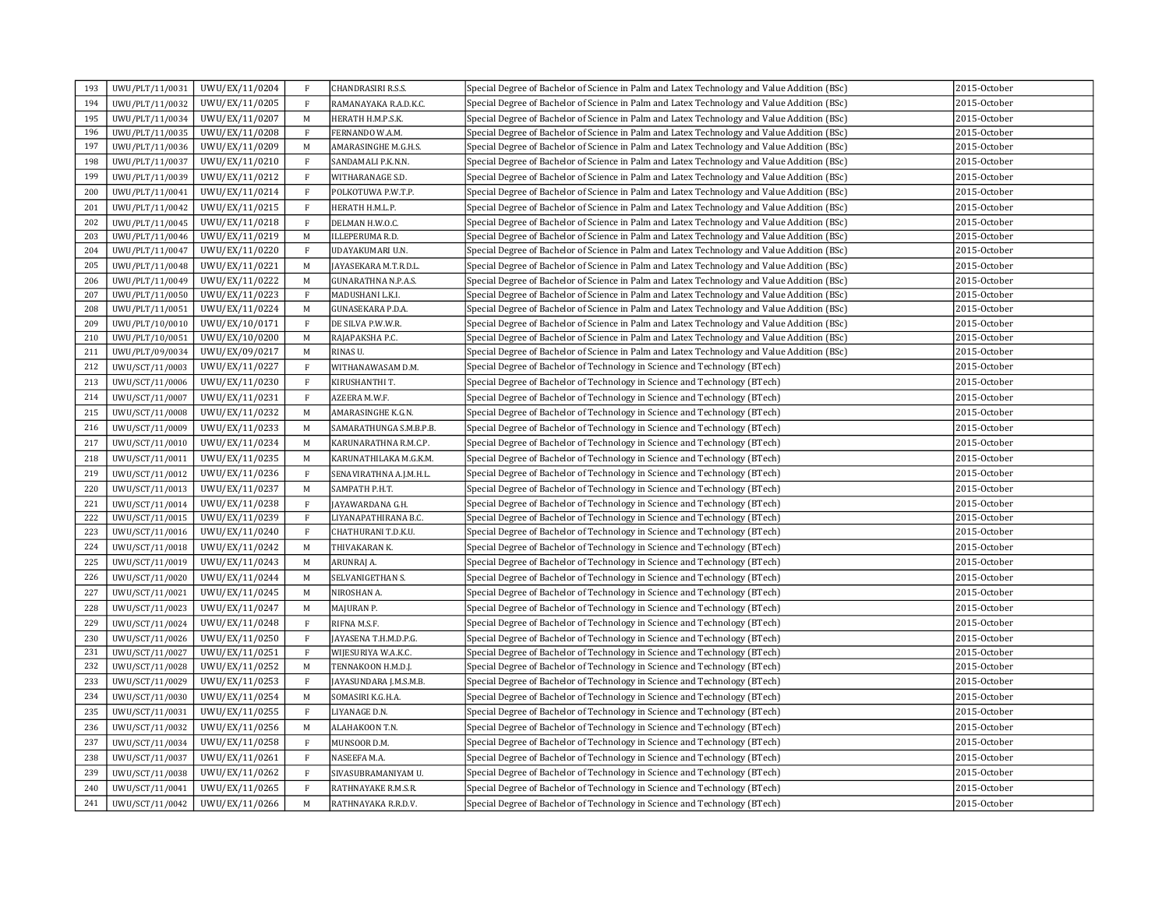| 193 | UWU/PLT/11/0031 | UWU/EX/11/0204 | $\rm F$      | CHANDRASIRI R.S.S.         | Special Degree of Bachelor of Science in Palm and Latex Technology and Value Addition (BSc) | 2015-October    |
|-----|-----------------|----------------|--------------|----------------------------|---------------------------------------------------------------------------------------------|-----------------|
| 194 | UWU/PLT/11/0032 | UWU/EX/11/0205 | $\rm F$      | RAMANAYAKA R.A.D.K.C.      | Special Degree of Bachelor of Science in Palm and Latex Technology and Value Addition (BSc) | 2015-October    |
| 195 | UWU/PLT/11/0034 | UWU/EX/11/0207 | M            | HERATH H.M.P.S.K.          | Special Degree of Bachelor of Science in Palm and Latex Technology and Value Addition (BSc) | 2015-October    |
| 196 | UWU/PLT/11/0035 | UWU/EX/11/0208 | $\mathbf{F}$ | FERNANDO W.A.M.            | Special Degree of Bachelor of Science in Palm and Latex Technology and Value Addition (BSc) | 2015-October    |
| 197 | UWU/PLT/11/0036 | UWU/EX/11/0209 | M            | AMARASINGHE M.G.H.S.       | Special Degree of Bachelor of Science in Palm and Latex Technology and Value Addition (BSc) | 2015-October    |
| 198 | UWU/PLT/11/0037 | UWU/EX/11/0210 | $\mathbf{F}$ | SANDAMALI P.K.N.N.         | Special Degree of Bachelor of Science in Palm and Latex Technology and Value Addition (BSc) | 2015-October    |
| 199 | UWU/PLT/11/0039 | UWU/EX/11/0212 | $\,$ F       | WITHARANAGE S.D.           | Special Degree of Bachelor of Science in Palm and Latex Technology and Value Addition (BSc) | 2015-October    |
| 200 | UWU/PLT/11/0041 | UWU/EX/11/0214 | $\rm F$      | POLKOTUWA P.W.T.P.         | Special Degree of Bachelor of Science in Palm and Latex Technology and Value Addition (BSc) | 2015-October    |
| 201 | UWU/PLT/11/0042 | UWU/EX/11/0215 | $\mathbf{F}$ | HERATH H.M.L.P.            | Special Degree of Bachelor of Science in Palm and Latex Technology and Value Addition (BSc) | 2015-October    |
| 202 | UWU/PLT/11/0045 | UWU/EX/11/0218 | $\rm F$      | DELMAN H.W.O.C.            | Special Degree of Bachelor of Science in Palm and Latex Technology and Value Addition (BSc) | 2015-October    |
| 203 | UWU/PLT/11/0046 | UWU/EX/11/0219 | M            | <b>ILLEPERUMA R.D.</b>     | Special Degree of Bachelor of Science in Palm and Latex Technology and Value Addition (BSc) | 2015-October    |
| 204 | UWU/PLT/11/0047 | UWU/EX/11/0220 | $\rm F$      | UDAYAKUMARI U.N.           | Special Degree of Bachelor of Science in Palm and Latex Technology and Value Addition (BSc) | 2015-October    |
| 205 | UWU/PLT/11/0048 | UWU/EX/11/0221 | M            | JAYASEKARA M.T.R.D.L.      | Special Degree of Bachelor of Science in Palm and Latex Technology and Value Addition (BSc) | 2015-October    |
| 206 | UWU/PLT/11/0049 | UWU/EX/11/0222 | M            | <b>GUNARATHNA N.P.A.S.</b> | Special Degree of Bachelor of Science in Palm and Latex Technology and Value Addition (BSc) | 2015-October    |
| 207 | UWU/PLT/11/0050 | UWU/EX/11/0223 | $\mathbf{F}$ | MADUSHANI L.K.I.           | Special Degree of Bachelor of Science in Palm and Latex Technology and Value Addition (BSc) | 2015-October    |
| 208 | UWU/PLT/11/0051 | UWU/EX/11/0224 | M            | GUNASEKARA P.D.A.          | Special Degree of Bachelor of Science in Palm and Latex Technology and Value Addition (BSc) | 2015-October    |
| 209 | UWU/PLT/10/0010 | UWU/EX/10/0171 | $\mathbf{F}$ | DE SILVA P.W.W.R.          | Special Degree of Bachelor of Science in Palm and Latex Technology and Value Addition (BSc) | 2015-October    |
| 210 | UWU/PLT/10/0051 | UWU/EX/10/0200 | M            | RAJAPAKSHA P.C.            | Special Degree of Bachelor of Science in Palm and Latex Technology and Value Addition (BSc) | 2015-October    |
| 211 | UWU/PLT/09/0034 | UWU/EX/09/0217 | M            | RINAS U.                   | Special Degree of Bachelor of Science in Palm and Latex Technology and Value Addition (BSc) | 2015-October    |
| 212 | UWU/SCT/11/0003 | UWU/EX/11/0227 | $\rm F$      | WITHANAWASAM D.M.          | Special Degree of Bachelor of Technology in Science and Technology (BTech)                  | 2015-October    |
| 213 | UWU/SCT/11/0006 | UWU/EX/11/0230 | $\rm F$      | KIRUSHANTHI T.             | Special Degree of Bachelor of Technology in Science and Technology (BTech)                  | 2015-October    |
| 214 | UWU/SCT/11/0007 | UWU/EX/11/0231 | $\,$ F       | AZEERA M.W.F.              | Special Degree of Bachelor of Technology in Science and Technology (BTech)                  | 2015-October    |
| 215 | UWU/SCT/11/0008 | UWU/EX/11/0232 | M            | AMARASINGHE K.G.N.         | Special Degree of Bachelor of Technology in Science and Technology (BTech)                  | 2015-October    |
| 216 | UWU/SCT/11/0009 | UWU/EX/11/0233 | M            | SAMARATHUNGA S.M.B.P.B.    | Special Degree of Bachelor of Technology in Science and Technology (BTech)                  | 2015-October    |
| 217 | UWU/SCT/11/0010 | UWU/EX/11/0234 | M            | KARUNARATHNA R.M.C.P.      | Special Degree of Bachelor of Technology in Science and Technology (BTech)                  | 2015-October    |
| 218 | UWU/SCT/11/0011 | UWU/EX/11/0235 | M            | KARUNATHILAKA M.G.K.M.     | Special Degree of Bachelor of Technology in Science and Technology (BTech)                  | 2015-October    |
| 219 | UWU/SCT/11/0012 | UWU/EX/11/0236 | $\mathbf{F}$ | SENAVIRATHNA A.J.M.H.L.    | Special Degree of Bachelor of Technology in Science and Technology (BTech)                  | 2015-October    |
| 220 | UWU/SCT/11/0013 | UWU/EX/11/0237 | $\mathbf M$  | SAMPATH P.H.T.             | Special Degree of Bachelor of Technology in Science and Technology (BTech)                  | 2015-October    |
| 221 | UWU/SCT/11/0014 | UWU/EX/11/0238 | $\mathbf{F}$ | JAYAWARDANA G.H.           | Special Degree of Bachelor of Technology in Science and Technology (BTech)                  | 2015-October    |
| 222 | UWU/SCT/11/0015 | UWU/EX/11/0239 | $\rm F$      | LIYANAPATHIRANA B.C.       | Special Degree of Bachelor of Technology in Science and Technology (BTech)                  | 2015-October    |
| 223 | UWU/SCT/11/0016 | UWU/EX/11/0240 | $\mathbf{F}$ | CHATHURANI T.D.K.U.        | Special Degree of Bachelor of Technology in Science and Technology (BTech)                  | 2015-October    |
| 224 | UWU/SCT/11/0018 | UWU/EX/11/0242 | $\mathbf M$  | THIVAKARAN K.              | Special Degree of Bachelor of Technology in Science and Technology (BTech)                  | 2015-October    |
| 225 | UWU/SCT/11/0019 | UWU/EX/11/0243 | M            | ARUNRAJ A.                 | Special Degree of Bachelor of Technology in Science and Technology (BTech)                  | 2015-October    |
| 226 | UWU/SCT/11/0020 | UWU/EX/11/0244 | M            | SELVANIGETHAN S.           | Special Degree of Bachelor of Technology in Science and Technology (BTech)                  | 2015-October    |
| 227 | UWU/SCT/11/0021 | UWU/EX/11/0245 | M            | NIROSHAN A.                | Special Degree of Bachelor of Technology in Science and Technology (BTech)                  | 2015-October    |
| 228 | UWU/SCT/11/0023 | UWU/EX/11/0247 | M            | MAJURAN P.                 | Special Degree of Bachelor of Technology in Science and Technology (BTech)                  | 2015-October    |
| 229 | UWU/SCT/11/0024 | UWU/EX/11/0248 | $\rm F$      | RIFNA M.S.F.               | Special Degree of Bachelor of Technology in Science and Technology (BTech)                  | 2015-October    |
| 230 | UWU/SCT/11/0026 | UWU/EX/11/0250 | $\mathbf{F}$ | JAYASENA T.H.M.D.P.G.      | Special Degree of Bachelor of Technology in Science and Technology (BTech)                  | 2015-October    |
| 231 | UWU/SCT/11/0027 | UWU/EX/11/0251 | $\rm F$      | WIJESURIYA W.A.K.C.        | Special Degree of Bachelor of Technology in Science and Technology (BTech)                  | 2015-October    |
| 232 | UWU/SCT/11/0028 | UWU/EX/11/0252 | M            | TENNAKOON H.M.D.J.         | Special Degree of Bachelor of Technology in Science and Technology (BTech)                  | 2015-October    |
| 233 | UWU/SCT/11/0029 | UWU/EX/11/0253 | $\rm F$      | JAYASUNDARA J.M.S.M.B.     | Special Degree of Bachelor of Technology in Science and Technology (BTech)                  | 2015-October    |
| 234 | UWU/SCT/11/0030 | UWU/EX/11/0254 | M            | SOMASIRI K.G.H.A.          | Special Degree of Bachelor of Technology in Science and Technology (BTech)                  | 2015-October    |
| 235 | UWU/SCT/11/0031 | UWU/EX/11/0255 | $\mathbf{F}$ | LIYANAGE D.N.              | Special Degree of Bachelor of Technology in Science and Technology (BTech)                  | 2015-October    |
| 236 | UWU/SCT/11/0032 | UWU/EX/11/0256 | M            | ALAHAKOON T.N.             | Special Degree of Bachelor of Technology in Science and Technology (BTech)                  | 2015-October    |
| 237 | UWU/SCT/11/0034 | UWU/EX/11/0258 | $\mathbf{F}$ | MUNSOOR D.M.               | Special Degree of Bachelor of Technology in Science and Technology (BTech)                  | $2015$ -October |
| 238 | UWU/SCT/11/0037 | UWU/EX/11/0261 | $\rm F$      | NASEEFA M.A.               | Special Degree of Bachelor of Technology in Science and Technology (BTech)                  | 2015-October    |
| 239 | UWU/SCT/11/0038 | UWU/EX/11/0262 | $\rm F$      | SIVASUBRAMANIYAM U.        | Special Degree of Bachelor of Technology in Science and Technology (BTech)                  | 2015-October    |
| 240 | UWU/SCT/11/0041 | UWU/EX/11/0265 | $\rm F$      | RATHNAYAKE R.M.S.R.        | Special Degree of Bachelor of Technology in Science and Technology (BTech)                  | 2015-October    |
| 241 | UWU/SCT/11/0042 | UWU/EX/11/0266 | $\mathbf M$  | RATHNAYAKA R.R.D.V.        | Special Degree of Bachelor of Technology in Science and Technology (BTech)                  | 2015-October    |
|     |                 |                |              |                            |                                                                                             |                 |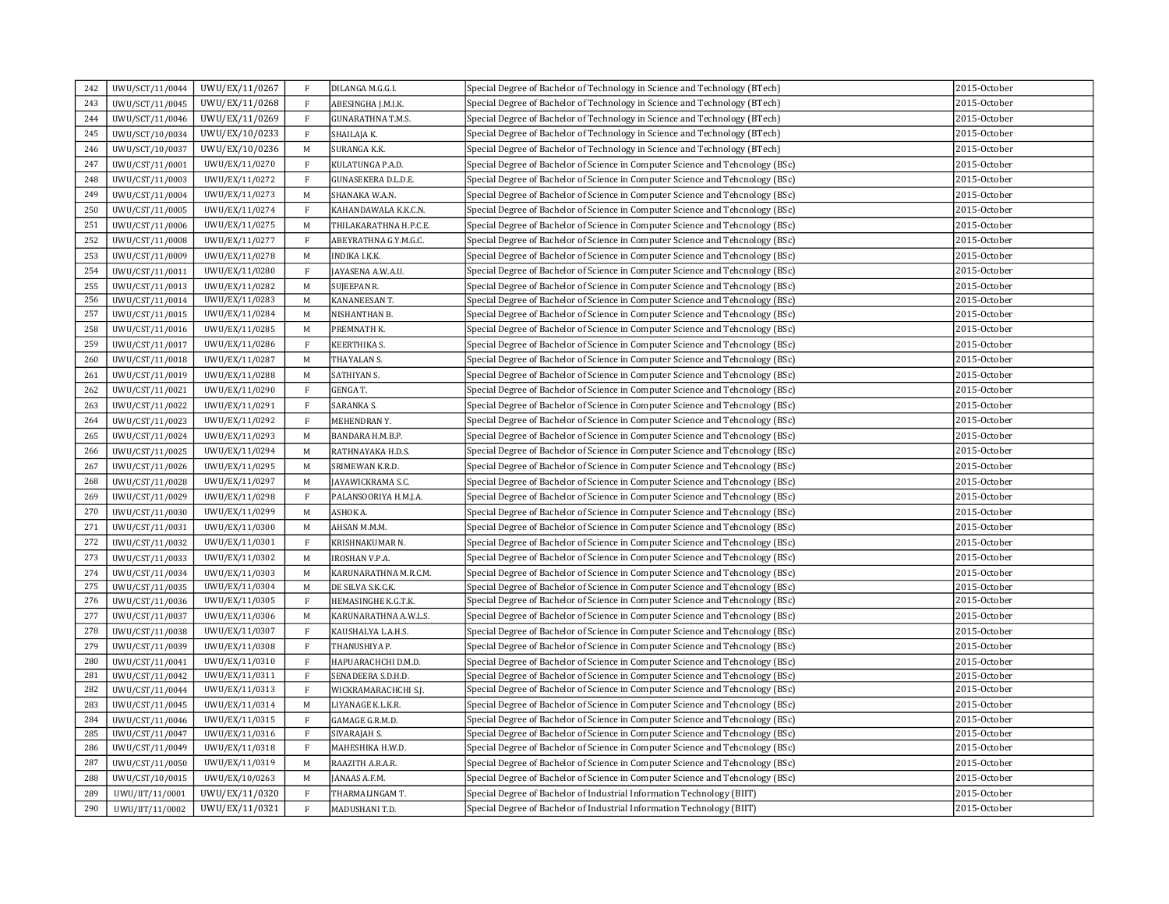| 242 | UWU/SCT/11/0044 | UWU/EX/11/0267 | $\mathbf{F}$ | DILANGA M.G.G.I.         | Special Degree of Bachelor of Technology in Science and Technology (BTech)     | 2015-October    |
|-----|-----------------|----------------|--------------|--------------------------|--------------------------------------------------------------------------------|-----------------|
| 243 | UWU/SCT/11/0045 | UWU/EX/11/0268 | $\mathbf F$  | ABESINGHA J.M.I.K.       | Special Degree of Bachelor of Technology in Science and Technology (BTech)     | 2015-October    |
| 244 | UWU/SCT/11/0046 | UWU/EX/11/0269 | $\mathbf{F}$ | <b>GUNARATHNA T.M.S.</b> | Special Degree of Bachelor of Technology in Science and Technology (BTech)     | 2015-October    |
| 245 | UWU/SCT/10/0034 | UWU/EX/10/0233 | F            | SHAILAJA K.              | Special Degree of Bachelor of Technology in Science and Technology (BTech)     | 2015-October    |
| 246 | UWU/SCT/10/0037 | UWU/EX/10/0236 | M            | SURANGA K.K.             | Special Degree of Bachelor of Technology in Science and Technology (BTech)     | 2015-October    |
| 247 | UWU/CST/11/0001 | UWU/EX/11/0270 | $\mathbf{F}$ | KULATUNGA P.A.D.         | Special Degree of Bachelor of Science in Computer Science and Tehcnology (BSc) | 2015-October    |
| 248 | UWU/CST/11/0003 | UWU/EX/11/0272 | $\,$ F       | GUNASEKERA D.L.D.E.      | Special Degree of Bachelor of Science in Computer Science and Tehcnology (BSc) | 2015-October    |
| 249 | UWU/CST/11/0004 | UWU/EX/11/0273 | M            | SHANAKA W.A.N.           | Special Degree of Bachelor of Science in Computer Science and Tehcnology (BSc) | 2015-October    |
| 250 | UWU/CST/11/0005 | UWU/EX/11/0274 | $\mathbf{F}$ | KAHANDAWALA K.K.C.N.     | Special Degree of Bachelor of Science in Computer Science and Tehcnology (BSc) | 2015-October    |
| 251 | UWU/CST/11/0006 | UWU/EX/11/0275 | $\mathbf M$  | THILAKARATHNA H.P.C.E.   | Special Degree of Bachelor of Science in Computer Science and Tehcnology (BSc) | 2015-October    |
| 252 | UWU/CST/11/0008 | UWU/EX/11/0277 | $\rm F$      | ABEYRATHNA G.Y.M.G.C.    | Special Degree of Bachelor of Science in Computer Science and Tehcnology (BSc) | 2015-October    |
| 253 | UWU/CST/11/0009 | UWU/EX/11/0278 | M            | INDIKA I.K.K.            | Special Degree of Bachelor of Science in Computer Science and Tehcnology (BSc) | 2015-October    |
| 254 | UWU/CST/11/0011 | UWU/EX/11/0280 | $\mathbf{F}$ | JAYASENA A.W.A.U.        | Special Degree of Bachelor of Science in Computer Science and Tehcnology (BSc) | 2015-October    |
| 255 | UWU/CST/11/0013 | UWU/EX/11/0282 | M            | <b>SUJEEPAN R.</b>       | Special Degree of Bachelor of Science in Computer Science and Tehcnology (BSc) | 2015-October    |
| 256 | UWU/CST/11/0014 | UWU/EX/11/0283 | M            | KANANEESAN T.            | Special Degree of Bachelor of Science in Computer Science and Tehcnology (BSc) | 2015-October    |
| 257 | UWU/CST/11/0015 | UWU/EX/11/0284 | M            | NISHANTHAN B.            | Special Degree of Bachelor of Science in Computer Science and Tehcnology (BSc) | 2015-October    |
| 258 | UWU/CST/11/0016 | UWU/EX/11/0285 | M            | PREMNATH K.              | Special Degree of Bachelor of Science in Computer Science and Tehcnology (BSc) | 2015-October    |
| 259 | UWU/CST/11/0017 | UWU/EX/11/0286 | $\rm F$      | KEERTHIKA S.             | Special Degree of Bachelor of Science in Computer Science and Tehcnology (BSc) | 2015-October    |
| 260 | UWU/CST/11/0018 | UWU/EX/11/0287 | M            | THAYALAN S.              | Special Degree of Bachelor of Science in Computer Science and Tehcnology (BSc) | 2015-October    |
| 261 | UWU/CST/11/0019 | UWU/EX/11/0288 | M            | SATHIYAN S.              | Special Degree of Bachelor of Science in Computer Science and Tehcnology (BSc) | 2015-October    |
| 262 | UWU/CST/11/0021 | UWU/EX/11/0290 | $\mathbf{F}$ | GENGA T.                 | Special Degree of Bachelor of Science in Computer Science and Tehcnology (BSc) | 2015-October    |
| 263 | UWU/CST/11/0022 | UWU/EX/11/0291 | $\mathbf F$  | SARANKA S.               | Special Degree of Bachelor of Science in Computer Science and Tehcnology (BSc) | 2015-October    |
| 264 | UWU/CST/11/0023 | UWU/EX/11/0292 | $\,$ F       | MEHENDRAN Y.             | Special Degree of Bachelor of Science in Computer Science and Tehcnology (BSc) | 2015-October    |
| 265 | UWU/CST/11/0024 | UWU/EX/11/0293 | M            | BANDARA H.M.B.P.         | Special Degree of Bachelor of Science in Computer Science and Tehcnology (BSc) | 2015-October    |
| 266 | UWU/CST/11/0025 | UWU/EX/11/0294 | M            | RATHNAYAKA H.D.S.        | Special Degree of Bachelor of Science in Computer Science and Tehcnology (BSc) | 2015-October    |
| 267 | UWU/CST/11/0026 | UWU/EX/11/0295 | M            | SRIMEWAN K.R.D.          | Special Degree of Bachelor of Science in Computer Science and Tehcnology (BSc) | 2015-October    |
| 268 | UWU/CST/11/0028 | UWU/EX/11/0297 | $\mathbf M$  | JAYAWICKRAMA S.C.        | Special Degree of Bachelor of Science in Computer Science and Tehcnology (BSc) | 2015-October    |
| 269 | UWU/CST/11/0029 | UWU/EX/11/0298 | $\rm F$      | PALANSOORIYA H.M.J.A.    | Special Degree of Bachelor of Science in Computer Science and Tehcnology (BSc) | 2015-October    |
| 270 | UWU/CST/11/0030 | UWU/EX/11/0299 | M            | ASHOK A.                 | Special Degree of Bachelor of Science in Computer Science and Tehcnology (BSc) | 2015-October    |
| 271 | UWU/CST/11/0031 | UWU/EX/11/0300 | M            | AHSAN M.M.M.             | Special Degree of Bachelor of Science in Computer Science and Tehcnology (BSc) | 2015-October    |
| 272 | UWU/CST/11/0032 | UWU/EX/11/0301 | $\mathbf{F}$ | KRISHNAKUMAR N.          | Special Degree of Bachelor of Science in Computer Science and Tehcnology (BSc) | 2015-October    |
| 273 | UWU/CST/11/0033 | UWU/EX/11/0302 | $\mathbf M$  | <b>IROSHAN V.P.A.</b>    | Special Degree of Bachelor of Science in Computer Science and Tehcnology (BSc) | 2015-October    |
| 274 | UWU/CST/11/0034 | UWU/EX/11/0303 | M            | KARUNARATHNA M.R.C.M.    | Special Degree of Bachelor of Science in Computer Science and Tehcnology (BSc) | 2015-October    |
| 275 | UWU/CST/11/0035 | UWU/EX/11/0304 | M            | DE SILVA S.K.C.K.        | Special Degree of Bachelor of Science in Computer Science and Tehcnology (BSc) | 2015-October    |
| 276 | UWU/CST/11/0036 | UWU/EX/11/0305 | $\,$ F       | HEMASINGHE K.G.T.K.      | Special Degree of Bachelor of Science in Computer Science and Tehcnology (BSc) | 2015-October    |
| 277 | UWU/CST/11/0037 | UWU/EX/11/0306 | M            | KARUNARATHNA A.W.L.S.    | Special Degree of Bachelor of Science in Computer Science and Tehcnology (BSc) | 2015-October    |
| 278 | UWU/CST/11/0038 | UWU/EX/11/0307 | $\mathbf{F}$ | KAUSHALYA L.A.H.S.       | Special Degree of Bachelor of Science in Computer Science and Tehcnology (BSc) | 2015-October    |
| 279 | UWU/CST/11/0039 | UWU/EX/11/0308 | $\mathbf F$  | THANUSHIYA P.            | Special Degree of Bachelor of Science in Computer Science and Tehcnology (BSc) | $2015$ -October |
| 280 | UWU/CST/11/0041 | UWU/EX/11/0310 | $\rm F$      | HAPUARACHCHI D.M.D.      | Special Degree of Bachelor of Science in Computer Science and Tehcnology (BSc) | 2015-October    |
| 281 | UWU/CST/11/0042 | UWU/EX/11/0311 | F            | SENADEERA S.D.H.D.       | Special Degree of Bachelor of Science in Computer Science and Tehcnology (BSc) | 2015-October    |
| 282 | UWU/CST/11/0044 | UWU/EX/11/0313 | $\, {\rm F}$ | WICKRAMARACHCHI S.J.     | Special Degree of Bachelor of Science in Computer Science and Tehcnology (BSc) | 2015-October    |
| 283 | UWU/CST/11/0045 | UWU/EX/11/0314 | M            | LIYANAGE K.L.K.R.        | Special Degree of Bachelor of Science in Computer Science and Tehcnology (BSc) | 2015-October    |
| 284 | UWU/CST/11/0046 | UWU/EX/11/0315 | $\mathbf{F}$ | GAMAGE G.R.M.D.          | Special Degree of Bachelor of Science in Computer Science and Tehcnology (BSc) | 2015-October    |
| 285 | UWU/CST/11/0047 | UWU/EX/11/0316 | F            | SIVARAJAH S.             | Special Degree of Bachelor of Science in Computer Science and Tehcnology (BSc) | 2015-October    |
| 286 | UWU/CST/11/0049 | UWU/EX/11/0318 | $\mathbf{F}$ | MAHESHIKA H.W.D.         | Special Degree of Bachelor of Science in Computer Science and Tehcnology (BSc) | 2015-October    |
| 287 | UWU/CST/11/0050 | UWU/EX/11/0319 | M            | RAAZITH A.R.A.R.         | Special Degree of Bachelor of Science in Computer Science and Tehcnology (BSc) | 2015-October    |
| 288 | UWU/CST/10/0015 | UWU/EX/10/0263 | M            | JANAAS A.F.M.            | Special Degree of Bachelor of Science in Computer Science and Tehcnology (BSc) | 2015-October    |
| 289 | UWU/IIT/11/0001 | UWU/EX/11/0320 | $\mathbf{F}$ | THARMALINGAM T.          | Special Degree of Bachelor of Industrial Information Technology (BIIT)         | 2015-October    |
| 290 | UWU/IIT/11/0002 | UWU/EX/11/0321 | $\mathbf{F}$ | MADUSHANI T.D.           | Special Degree of Bachelor of Industrial Information Technology (BIIT)         | 2015-October    |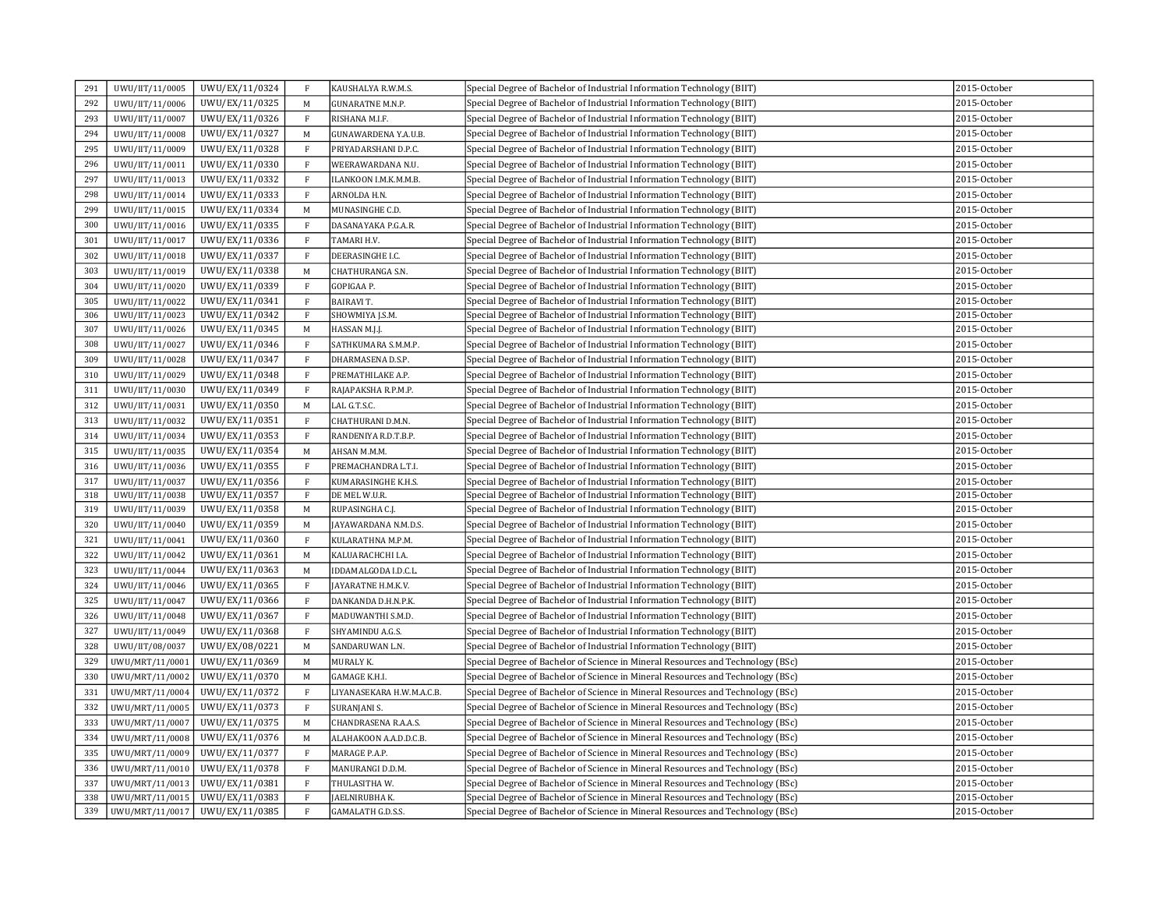| 291 | UWU/IIT/11/0005 | UWU/EX/11/0324 | F            | KAUSHALYA R.W.M.S.        | Special Degree of Bachelor of Industrial Information Technology (BIIT)          | 2015-October |
|-----|-----------------|----------------|--------------|---------------------------|---------------------------------------------------------------------------------|--------------|
| 292 | UWU/IIT/11/0006 | UWU/EX/11/0325 | M            | <b>GUNARATNE M.N.P.</b>   | Special Degree of Bachelor of Industrial Information Technology (BIIT)          | 2015-October |
| 293 | UWU/IIT/11/0007 | UWU/EX/11/0326 | $\mathbf F$  | RISHANA M.I.F.            | Special Degree of Bachelor of Industrial Information Technology (BIIT)          | 2015-October |
| 294 | UWU/IIT/11/0008 | UWU/EX/11/0327 | $\mathbf M$  | GUNAWARDENA Y.A.U.B.      | Special Degree of Bachelor of Industrial Information Technology (BIIT)          | 2015-October |
| 295 | UWU/IIT/11/0009 | UWU/EX/11/0328 | $\mathbf F$  | PRIYADARSHANI D.P.C.      | Special Degree of Bachelor of Industrial Information Technology (BIIT)          | 2015-October |
| 296 | UWU/IIT/11/0011 | UWU/EX/11/0330 | F            | WEERAWARDANA N.U.         | Special Degree of Bachelor of Industrial Information Technology (BIIT)          | 2015-October |
| 297 | UWU/IIT/11/0013 | UWU/EX/11/0332 | $\mathbf{F}$ | ILANKOON I.M.K.M.M.B.     | Special Degree of Bachelor of Industrial Information Technology (BIIT)          | 2015-October |
| 298 | UWU/IIT/11/0014 | UWU/EX/11/0333 | $\mathbf{F}$ | ARNOLDA H.N.              | Special Degree of Bachelor of Industrial Information Technology (BIIT)          | 2015-October |
| 299 | UWU/IIT/11/0015 | UWU/EX/11/0334 | M            | MUNASINGHE C.D.           | Special Degree of Bachelor of Industrial Information Technology (BIIT)          | 2015-October |
| 300 | UWU/IIT/11/0016 | UWU/EX/11/0335 | $\, {\bf F}$ | DASANAYAKA P.G.A.R.       | Special Degree of Bachelor of Industrial Information Technology (BIIT)          | 2015-October |
| 301 | UWU/IIT/11/0017 | UWU/EX/11/0336 | F            | TAMARI H.V.               | Special Degree of Bachelor of Industrial Information Technology (BIIT)          | 2015-October |
| 302 | UWU/IIT/11/0018 | UWU/EX/11/0337 | $\, {\bf F}$ | DEERASINGHE I.C.          | Special Degree of Bachelor of Industrial Information Technology (BIIT)          | 2015-October |
| 303 | UWU/IIT/11/0019 | UWU/EX/11/0338 | $\mathbf M$  | CHATHURANGA S.N.          | Special Degree of Bachelor of Industrial Information Technology (BIIT)          | 2015-October |
| 304 | UWU/IIT/11/0020 | UWU/EX/11/0339 | $\mathbf F$  | GOPIGAA P.                | Special Degree of Bachelor of Industrial Information Technology (BIIT)          | 2015-October |
| 305 | UWU/IIT/11/0022 | UWU/EX/11/0341 | F            | <b>BAIRAVIT.</b>          | Special Degree of Bachelor of Industrial Information Technology (BIIT)          | 2015-October |
| 306 | UWU/IIT/11/0023 | UWU/EX/11/0342 | $\rm F$      | SHOWMIYA J.S.M.           | Special Degree of Bachelor of Industrial Information Technology (BIIT)          | 2015-October |
| 307 | UWU/IIT/11/0026 | UWU/EX/11/0345 | $\mathbf M$  | HASSAN M.J.J.             | Special Degree of Bachelor of Industrial Information Technology (BIIT)          | 2015-October |
| 308 | UWU/IIT/11/0027 | UWU/EX/11/0346 | $\, {\bf F}$ | SATHKUMARA S.M.M.P.       | Special Degree of Bachelor of Industrial Information Technology (BIIT)          | 2015-October |
| 309 | UWU/IIT/11/0028 | UWU/EX/11/0347 | $\rm F$      | DHARMASENA D.S.P.         | Special Degree of Bachelor of Industrial Information Technology (BIIT)          | 2015-October |
| 310 | UWU/IIT/11/0029 | UWU/EX/11/0348 | $\rm F$      | PREMATHILAKE A.P.         | Special Degree of Bachelor of Industrial Information Technology (BIIT)          | 2015-October |
| 311 | UWU/IIT/11/0030 | UWU/EX/11/0349 | F            | RAJAPAKSHA R.P.M.P.       | Special Degree of Bachelor of Industrial Information Technology (BIIT)          | 2015-October |
| 312 | UWU/IIT/11/0031 | UWU/EX/11/0350 | M            | LAL G.T.S.C.              | Special Degree of Bachelor of Industrial Information Technology (BIIT)          | 2015-October |
| 313 | UWU/IIT/11/0032 | UWU/EX/11/0351 | $\mathbf F$  | CHATHURANI D.M.N.         | Special Degree of Bachelor of Industrial Information Technology (BIIT)          | 2015-October |
| 314 | UWU/IIT/11/0034 | UWU/EX/11/0353 | $\mathbf F$  | RANDENIYA R.D.T.B.P.      | Special Degree of Bachelor of Industrial Information Technology (BIIT)          | 2015-October |
| 315 | UWU/IIT/11/0035 | UWU/EX/11/0354 | $\mathbf M$  | AHSAN M.M.M.              | Special Degree of Bachelor of Industrial Information Technology (BIIT)          | 2015-October |
| 316 | UWU/IIT/11/0036 | UWU/EX/11/0355 | F            | PREMACHANDRA L.T.I.       | Special Degree of Bachelor of Industrial Information Technology (BIIT)          | 2015-October |
| 317 | UWU/IIT/11/0037 | UWU/EX/11/0356 | F            | KUMARASINGHE K.H.S.       | Special Degree of Bachelor of Industrial Information Technology (BIIT)          | 2015-October |
| 318 | UWU/IIT/11/0038 | UWU/EX/11/0357 | F            | DE MEL W.U.R.             | Special Degree of Bachelor of Industrial Information Technology (BIIT)          | 2015-October |
| 319 | UWU/IIT/11/0039 | UWU/EX/11/0358 | M            | RUPASINGHA C.J.           | Special Degree of Bachelor of Industrial Information Technology (BIIT)          | 2015-October |
| 320 | UWU/IIT/11/0040 | UWU/EX/11/0359 | M            | JAYAWARDANA N.M.D.S.      | Special Degree of Bachelor of Industrial Information Technology (BIIT)          | 2015-October |
| 321 | UWU/IIT/11/0041 | UWU/EX/11/0360 | F            | KULARATHNA M.P.M.         | Special Degree of Bachelor of Industrial Information Technology (BIIT)          | 2015-October |
| 322 | UWU/IIT/11/0042 | UWU/EX/11/0361 | M            | KALUARACHCHI I.A.         | Special Degree of Bachelor of Industrial Information Technology (BIIT)          | 2015-October |
| 323 | UWU/IIT/11/0044 | UWU/EX/11/0363 | M            | IDDAMALGODA I.D.C.L.      | Special Degree of Bachelor of Industrial Information Technology (BIIT)          | 2015-October |
| 324 | UWU/IIT/11/0046 | UWU/EX/11/0365 | F            | JAYARATNE H.M.K.V.        | Special Degree of Bachelor of Industrial Information Technology (BIIT)          | 2015-October |
| 325 | UWU/IIT/11/0047 | UWU/EX/11/0366 | $\mathbf F$  | DANKANDA D.H.N.P.K.       | Special Degree of Bachelor of Industrial Information Technology (BIIT)          | 2015-October |
| 326 | UWU/IIT/11/0048 | UWU/EX/11/0367 | $\mathbf F$  | MADUWANTHI S.M.D.         | Special Degree of Bachelor of Industrial Information Technology (BIIT)          | 2015-October |
| 327 | UWU/IIT/11/0049 | UWU/EX/11/0368 | $\, {\bf F}$ | SHYAMINDU A.G.S.          | Special Degree of Bachelor of Industrial Information Technology (BIIT)          | 2015-October |
| 328 | UWU/IIT/08/0037 | UWU/EX/08/0221 | M            | SANDARUWAN L.N.           | Special Degree of Bachelor of Industrial Information Technology (BIIT)          | 2015-October |
| 329 | UWU/MRT/11/0001 | UWU/EX/11/0369 | M            | MURALY K.                 | Special Degree of Bachelor of Science in Mineral Resources and Technology (BSc) | 2015-October |
| 330 | UWU/MRT/11/0002 | UWU/EX/11/0370 | M            | GAMAGE K.H.I.             | Special Degree of Bachelor of Science in Mineral Resources and Technology (BSc) | 2015-October |
| 331 | UWU/MRT/11/0004 | UWU/EX/11/0372 | F            | LIYANASEKARA H.W.M.A.C.B. | Special Degree of Bachelor of Science in Mineral Resources and Technology (BSc) | 2015-October |
| 332 | UWU/MRT/11/0005 | UWU/EX/11/0373 | $\mathbf F$  | SURANJANI S.              | Special Degree of Bachelor of Science in Mineral Resources and Technology (BSc) | 2015-October |
| 333 | UWU/MRT/11/0007 | UWU/EX/11/0375 | $\mathbf M$  | CHANDRASENA R.A.A.S.      | Special Degree of Bachelor of Science in Mineral Resources and Technology (BSc) | 2015-October |
| 334 | UWU/MRT/11/0008 | UWU/EX/11/0376 | $\mathbf M$  | ALAHAKOON A.A.D.D.C.B.    | Special Degree of Bachelor of Science in Mineral Resources and Technology (BSc) | 2015-October |
| 335 | UWU/MRT/11/0009 | UWU/EX/11/0377 | $\mathbf F$  | MARAGE P.A.P.             | Special Degree of Bachelor of Science in Mineral Resources and Technology (BSc) | 2015-October |
| 336 | UWU/MRT/11/0010 | UWU/EX/11/0378 | F            | MANURANGI D.D.M.          | Special Degree of Bachelor of Science in Mineral Resources and Technology (BSc) | 2015-October |
| 337 | UWU/MRT/11/0013 | UWU/EX/11/0381 | F            | THULASITHA W.             | Special Degree of Bachelor of Science in Mineral Resources and Technology (BSc) | 2015-October |
| 338 | UWU/MRT/11/0015 | UWU/EX/11/0383 | $\mathbf{F}$ | JAELNIRUBHA K.            | Special Degree of Bachelor of Science in Mineral Resources and Technology (BSc) | 2015-October |
| 339 | UWU/MRT/11/0017 | UWU/EX/11/0385 | $\rm F$      | GAMALATH G.D.S.S.         | Special Degree of Bachelor of Science in Mineral Resources and Technology (BSc) | 2015-October |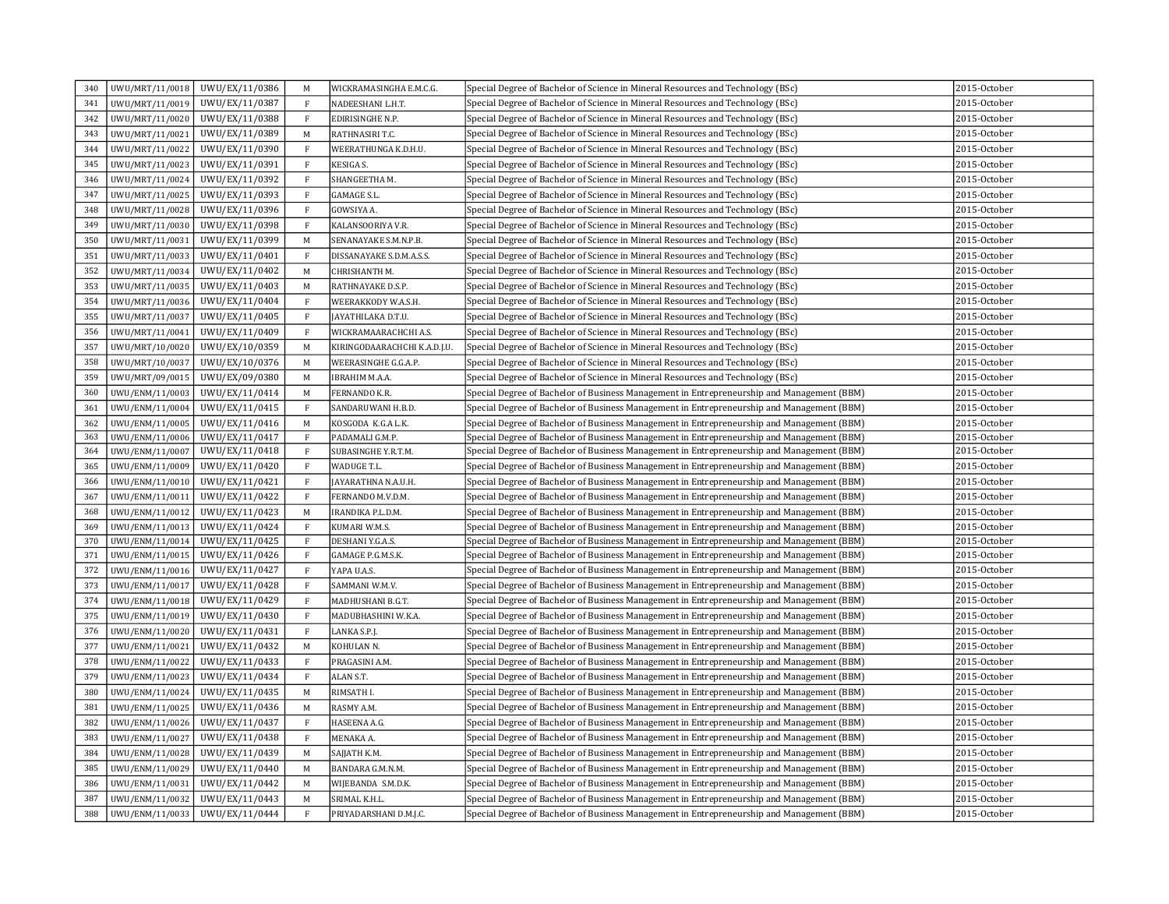| 340 |                 | UWU/MRT/11/0018 UWU/EX/11/0386 | M                                 | WICKRAMASINGHA E.M.C.G.      | Special Degree of Bachelor of Science in Mineral Resources and Technology (BSc)            | 2015-October |
|-----|-----------------|--------------------------------|-----------------------------------|------------------------------|--------------------------------------------------------------------------------------------|--------------|
| 341 | UWU/MRT/11/0019 | UWU/EX/11/0387                 | $\rm F$                           | NADEESHANI L.H.T.            | Special Degree of Bachelor of Science in Mineral Resources and Technology (BSc)            | 2015-October |
| 342 | UWU/MRT/11/0020 | UWU/EX/11/0388                 | $\rm F$                           | EDIRISINGHE N.P.             | Special Degree of Bachelor of Science in Mineral Resources and Technology (BSc)            | 2015-October |
| 343 | UWU/MRT/11/0021 | UWU/EX/11/0389                 | M                                 | RATHNASIRI T.C.              | Special Degree of Bachelor of Science in Mineral Resources and Technology (BSc)            | 2015-October |
| 344 | UWU/MRT/11/0022 | UWU/EX/11/0390                 | $\rm F$                           | WEERATHUNGA K.D.H.U.         | Special Degree of Bachelor of Science in Mineral Resources and Technology (BSc)            | 2015-October |
| 345 | UWU/MRT/11/0023 | UWU/EX/11/0391                 | $\rm F$                           | <b>KESIGA S.</b>             | Special Degree of Bachelor of Science in Mineral Resources and Technology (BSc)            | 2015-October |
| 346 | UWU/MRT/11/0024 | UWU/EX/11/0392                 | $\rm F$                           | SHANGEETHA M.                | Special Degree of Bachelor of Science in Mineral Resources and Technology (BSc)            | 2015-October |
| 347 | UWU/MRT/11/0025 | UWU/EX/11/0393                 | $\rm F$                           | <b>GAMAGE S.L.</b>           | Special Degree of Bachelor of Science in Mineral Resources and Technology (BSc)            | 2015-October |
| 348 | UWU/MRT/11/0028 | UWU/EX/11/0396                 | $\mathbf F$                       | GOWSIYA A.                   | Special Degree of Bachelor of Science in Mineral Resources and Technology (BSc)            | 2015-October |
| 349 |                 | UWU/MRT/11/0030 UWU/EX/11/0398 | F                                 | KALANSOORIYA V.R.            | Special Degree of Bachelor of Science in Mineral Resources and Technology (BSc)            | 2015-October |
| 350 | UWU/MRT/11/0031 | UWU/EX/11/0399                 | M                                 | SENANAYAKE S.M.N.P.B.        | Special Degree of Bachelor of Science in Mineral Resources and Technology (BSc)            | 2015-October |
| 351 | UWU/MRT/11/0033 | UWU/EX/11/0401                 | F                                 | DISSANAYAKE S.D.M.A.S.S.     | Special Degree of Bachelor of Science in Mineral Resources and Technology (BSc)            | 2015-October |
| 352 | UWU/MRT/11/0034 | UWU/EX/11/0402                 | M                                 | CHRISHANTH M.                | Special Degree of Bachelor of Science in Mineral Resources and Technology (BSc)            | 2015-October |
| 353 | UWU/MRT/11/0035 | UWU/EX/11/0403                 | M                                 | RATHNAYAKE D.S.P.            | Special Degree of Bachelor of Science in Mineral Resources and Technology (BSc)            | 2015-October |
| 354 | UWU/MRT/11/0036 | UWU/EX/11/0404                 | $\rm F$                           | WEERAKKODY W.A.S.H.          | Special Degree of Bachelor of Science in Mineral Resources and Technology (BSc)            | 2015-October |
| 355 | UWU/MRT/11/0037 | UWU/EX/11/0405                 | $\rm F$                           | JAYATHILAKA D.T.U.           | Special Degree of Bachelor of Science in Mineral Resources and Technology (BSc)            | 2015-October |
| 356 | UWU/MRT/11/0041 | UWU/EX/11/0409                 | $\mathbf{F}$                      | WICKRAMAARACHCHI A.S.        | Special Degree of Bachelor of Science in Mineral Resources and Technology (BSc)            | 2015-October |
| 357 | UWU/MRT/10/0020 | UWU/EX/10/0359                 | M                                 | KIRINGODAARACHCHI K.A.D.J.U. | Special Degree of Bachelor of Science in Mineral Resources and Technology (BSc)            | 2015-October |
| 358 | UWU/MRT/10/0037 | UWU/EX/10/0376                 | M                                 | WEERASINGHE G.G.A.P.         | Special Degree of Bachelor of Science in Mineral Resources and Technology (BSc)            | 2015-October |
| 359 | UWU/MRT/09/0015 | UWU/EX/09/0380                 | M                                 | IBRAHIM M.A.A.               | Special Degree of Bachelor of Science in Mineral Resources and Technology (BSc)            | 2015-October |
| 360 | UWU/ENM/11/0003 | UWU/EX/11/0414                 | M                                 | FERNANDO K.R.                | Special Degree of Bachelor of Business Management in Entrepreneurship and Management (BBM) | 2015-October |
| 361 | UWU/ENM/11/0004 | UWU/EX/11/0415                 | $\mathbf F$                       | SANDARUWANI H.B.D.           | Special Degree of Bachelor of Business Management in Entrepreneurship and Management (BBM) | 2015-October |
| 362 | UWU/ENM/11/0005 | UWU/EX/11/0416                 | $\mathbf M$                       | KOSGODA K.G.A L.K.           | Special Degree of Bachelor of Business Management in Entrepreneurship and Management (BBM) | 2015-October |
| 363 | UWU/ENM/11/0006 | UWU/EX/11/0417                 | $\rm F$                           | PADAMALI G.M.P.              | Special Degree of Bachelor of Business Management in Entrepreneurship and Management (BBM) | 2015-October |
| 364 | UWU/ENM/11/0007 | UWU/EX/11/0418                 | $\mathbf{F}$                      | SUBASINGHE Y.R.T.M.          | Special Degree of Bachelor of Business Management in Entrepreneurship and Management (BBM) | 2015-October |
| 365 | UWU/ENM/11/0009 | UWU/EX/11/0420                 | $\mathbf{F}$                      | WADUGE T.L.                  | Special Degree of Bachelor of Business Management in Entrepreneurship and Management (BBM) | 2015-October |
| 366 | UWU/ENM/11/0010 | UWU/EX/11/0421                 | $\,$ F                            | JAYARATHNA N.A.U.H.          | Special Degree of Bachelor of Business Management in Entrepreneurship and Management (BBM) | 2015-October |
| 367 | UWU/ENM/11/0011 | UWU/EX/11/0422                 | $\mathbf{F}$                      | FERNANDO M.V.D.M.            | Special Degree of Bachelor of Business Management in Entrepreneurship and Management (BBM) | 2015-October |
| 368 | UWU/ENM/11/0012 | UWU/EX/11/0423                 | $\mathsf{M}% _{H}=\mathsf{M}_{H}$ | IRANDIKA P.L.D.M.            | Special Degree of Bachelor of Business Management in Entrepreneurship and Management (BBM) | 2015-October |
| 369 | UWU/ENM/11/0013 | UWU/EX/11/0424                 | $\mathbf F$                       | KUMARI W.M.S.                | Special Degree of Bachelor of Business Management in Entrepreneurship and Management (BBM) | 2015-October |
| 370 | UWU/ENM/11/0014 | UWU/EX/11/0425                 | $\rm F$                           | DESHANI Y.G.A.S.             | Special Degree of Bachelor of Business Management in Entrepreneurship and Management (BBM) | 2015-October |
| 371 | UWU/ENM/11/0015 | UWU/EX/11/0426                 | $\mathbf{F}$                      | GAMAGE P.G.M.S.K.            | Special Degree of Bachelor of Business Management in Entrepreneurship and Management (BBM) | 2015-October |
| 372 | UWU/ENM/11/0016 | UWU/EX/11/0427                 | $\mathbf{F}$                      | YAPA U.A.S.                  | Special Degree of Bachelor of Business Management in Entrepreneurship and Management (BBM) | 2015-October |
| 373 | UWU/ENM/11/0017 | UWU/EX/11/0428                 | $\rm F$                           | SAMMANI W.M.V.               | Special Degree of Bachelor of Business Management in Entrepreneurship and Management (BBM) | 2015-October |
| 374 | UWU/ENM/11/0018 | UWU/EX/11/0429                 | F                                 | MADHUSHANI B.G.T.            | Special Degree of Bachelor of Business Management in Entrepreneurship and Management (BBM) | 2015-October |
| 375 | UWU/ENM/11/0019 | UWU/EX/11/0430                 | $\mathbf{F}$                      | MADUBHASHINI W.K.A.          | Special Degree of Bachelor of Business Management in Entrepreneurship and Management (BBM) | 2015-October |
| 376 | UWU/ENM/11/0020 | UWU/EX/11/0431                 | $\mathbf{F}$                      | LANKA S.P.J.                 | Special Degree of Bachelor of Business Management in Entrepreneurship and Management (BBM) | 2015-October |
| 377 | UWU/ENM/11/0021 | UWU/EX/11/0432                 | M                                 | KOHULAN <sub>N</sub> .       | Special Degree of Bachelor of Business Management in Entrepreneurship and Management (BBM) | 2015-October |
| 378 | UWU/ENM/11/0022 | UWU/EX/11/0433                 | $\mathbf{F}$                      | PRAGASINI A.M.               | Special Degree of Bachelor of Business Management in Entrepreneurship and Management (BBM) | 2015-October |
| 379 | UWU/ENM/11/0023 | UWU/EX/11/0434                 | $\mathbf{F}$                      | ALAN S.T.                    | Special Degree of Bachelor of Business Management in Entrepreneurship and Management (BBM) | 2015-October |
| 380 | UWU/ENM/11/0024 | UWU/EX/11/0435                 | $\mathbf M$                       | RIMSATH I.                   | Special Degree of Bachelor of Business Management in Entrepreneurship and Management (BBM) | 2015-October |
| 381 | UWU/ENM/11/0025 | UWU/EX/11/0436                 | $\mathbf M$                       | RASMY A.M.                   | Special Degree of Bachelor of Business Management in Entrepreneurship and Management (BBM) | 2015-October |
| 382 | UWU/ENM/11/0026 | UWU/EX/11/0437                 | $\rm F$                           | HASEENA A.G.                 | Special Degree of Bachelor of Business Management in Entrepreneurship and Management (BBM) | 2015-October |
| 383 | UWU/ENM/11/0027 | UWU/EX/11/0438                 | $\rm F$                           | MENAKA A.                    | Special Degree of Bachelor of Business Management in Entrepreneurship and Management (BBM) | 2015-October |
| 384 | UWU/ENM/11/0028 | UWU/EX/11/0439                 | $\mathbf M$                       | SAJJATH K.M.                 | Special Degree of Bachelor of Business Management in Entrepreneurship and Management (BBM) | 2015-October |
| 385 | UWU/ENM/11/0029 | UWU/EX/11/0440                 | M                                 | BANDARA G.M.N.M.             | Special Degree of Bachelor of Business Management in Entrepreneurship and Management (BBM) | 2015-October |
| 386 | UWU/ENM/11/0031 | UWU/EX/11/0442                 | M                                 | WIJEBANDA S.M.D.K.           | Special Degree of Bachelor of Business Management in Entrepreneurship and Management (BBM) | 2015-October |
| 387 | UWU/ENM/11/0032 | UWU/EX/11/0443                 | M                                 | SRIMAL K.H.L.                | Special Degree of Bachelor of Business Management in Entrepreneurship and Management (BBM) | 2015-October |
| 388 | UWU/ENM/11/0033 | UWU/EX/11/0444                 | $\mathbf F$                       | PRIYADARSHANI D.M.J.C.       | Special Degree of Bachelor of Business Management in Entrepreneurship and Management (BBM) | 2015-October |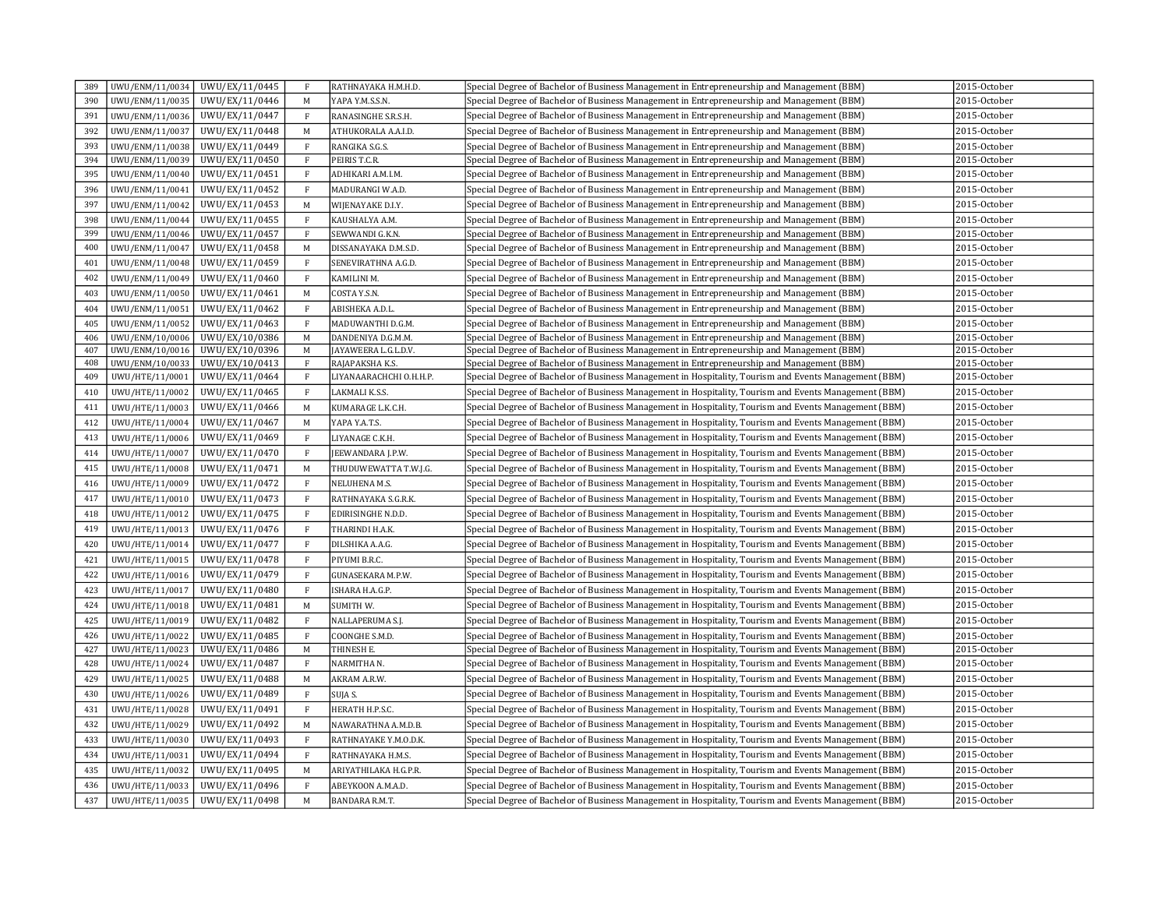| 389 | UWU/ENM/11/0034 | UWU/EX/11/0445 | $\mathbf{F}$ | RATHNAYAKA H.M.H.D.     | Special Degree of Bachelor of Business Management in Entrepreneurship and Management (BBM)            | 2015-October |
|-----|-----------------|----------------|--------------|-------------------------|-------------------------------------------------------------------------------------------------------|--------------|
| 390 | UWU/ENM/11/0035 | UWU/EX/11/0446 | M            | YAPA Y.M.S.S.N.         | Special Degree of Bachelor of Business Management in Entrepreneurship and Management (BBM)            | 2015-October |
| 391 | UWU/ENM/11/0036 | UWU/EX/11/0447 | $\mathbf{F}$ | RANASINGHE S.R.S.H.     | Special Degree of Bachelor of Business Management in Entrepreneurship and Management (BBM)            | 2015-October |
| 392 | UWU/ENM/11/0037 | UWU/EX/11/0448 | $\mathbf M$  | ATHUKORALA A.A.I.D      | Special Degree of Bachelor of Business Management in Entrepreneurship and Management (BBM)            | 2015-October |
| 393 | UWU/ENM/11/0038 | UWU/EX/11/0449 | $\mathbf{F}$ | RANGIKA S.G.S.          | Special Degree of Bachelor of Business Management in Entrepreneurship and Management (BBM)            | 2015-October |
| 394 | UWU/ENM/11/0039 | UWU/EX/11/0450 | $\rm F$      | PEIRIS T.C.R.           | Special Degree of Bachelor of Business Management in Entrepreneurship and Management (BBM)            | 2015-October |
| 395 | UWU/ENM/11/0040 | UWU/EX/11/0451 | $\rm F$      | ADHIKARI A.M.I.M.       | Special Degree of Bachelor of Business Management in Entrepreneurship and Management (BBM)            | 2015-October |
| 396 | UWU/ENM/11/0041 | UWU/EX/11/0452 | $\mathbf{F}$ | MADURANGI W.A.D.        | Special Degree of Bachelor of Business Management in Entrepreneurship and Management (BBM)            | 2015-October |
| 397 | UWU/ENM/11/0042 | UWU/EX/11/0453 | M            | WIJENAYAKE D.I.Y.       | Special Degree of Bachelor of Business Management in Entrepreneurship and Management (BBM)            | 2015-October |
| 398 | UWU/ENM/11/0044 | UWU/EX/11/0455 | $\mathbf{F}$ | KAUSHALYA A.M.          | Special Degree of Bachelor of Business Management in Entrepreneurship and Management (BBM)            | 2015-October |
| 399 | UWU/ENM/11/0046 | UWU/EX/11/0457 | $\rm F$      | SEWWANDI G.K.N.         | Special Degree of Bachelor of Business Management in Entrepreneurship and Management (BBM)            | 2015-October |
| 400 | UWU/ENM/11/0047 | UWU/EX/11/0458 | $\mathbf M$  | DISSANAYAKA D.M.S.D.    | Special Degree of Bachelor of Business Management in Entrepreneurship and Management (BBM)            | 2015-October |
| 401 | UWU/ENM/11/0048 | UWU/EX/11/0459 | $\rm F$      | SENEVIRATHNA A.G.D.     | Special Degree of Bachelor of Business Management in Entrepreneurship and Management (BBM)            | 2015-October |
| 402 | UWU/ENM/11/0049 | UWU/EX/11/0460 | $\mathbf{F}$ | KAMILINI M.             | Special Degree of Bachelor of Business Management in Entrepreneurship and Management (BBM)            | 2015-October |
| 403 | UWU/ENM/11/0050 | UWU/EX/11/0461 | M            | COSTA Y.S.N.            | Special Degree of Bachelor of Business Management in Entrepreneurship and Management (BBM)            | 2015-October |
| 404 | UWU/ENM/11/0051 | UWU/EX/11/0462 | $\mathbf{F}$ | ABISHEKA A.D.L.         | Special Degree of Bachelor of Business Management in Entrepreneurship and Management (BBM)            | 2015-October |
| 405 | UWU/ENM/11/0052 | UWU/EX/11/0463 | $\mathbf F$  | MADUWANTHI D.G.M.       | Special Degree of Bachelor of Business Management in Entrepreneurship and Management (BBM)            | 2015-October |
| 406 | UWU/ENM/10/0006 | UWU/EX/10/0386 | M            | DANDENIYA D.G.M.M.      | Special Degree of Bachelor of Business Management in Entrepreneurship and Management (BBM)            | 2015-October |
| 407 | UWU/ENM/10/0016 | UWU/EX/10/0396 | M            | JAYAWEERA L.G.L.D.V.    | Special Degree of Bachelor of Business Management in Entrepreneurship and Management (BBM)            | 2015-October |
| 408 | UWU/ENM/10/0033 | UWU/EX/10/0413 | $\mathbf{F}$ | RAJAPAKSHA K.S.         | Special Degree of Bachelor of Business Management in Entrepreneurship and Management (BBM)            | 2015-October |
| 409 | UWU/HTE/11/0001 | UWU/EX/11/0464 | $\mathbf{F}$ | LIYANAARACHCHI O.H.H.P. | Special Degree of Bachelor of Business Management in Hospitality, Tourism and Events Management (BBM) | 2015-October |
| 410 | UWU/HTE/11/0002 | UWU/EX/11/0465 | $\mathbf{F}$ | LAKMALI K.S.S.          | Special Degree of Bachelor of Business Management in Hospitality, Tourism and Events Management (BBM) | 2015-October |
| 411 | UWU/HTE/11/0003 | UWU/EX/11/0466 | M            | KUMARAGE L.K.C.H.       | Special Degree of Bachelor of Business Management in Hospitality, Tourism and Events Management (BBM) | 2015-October |
| 412 | UWU/HTE/11/0004 | UWU/EX/11/0467 | M            | YAPA Y.A.T.S.           | Special Degree of Bachelor of Business Management in Hospitality, Tourism and Events Management (BBM) | 2015-October |
| 413 | UWU/HTE/11/0006 | UWU/EX/11/0469 | $\rm F$      | LIYANAGE C.K.H.         | Special Degree of Bachelor of Business Management in Hospitality, Tourism and Events Management (BBM) | 2015-October |
| 414 | UWU/HTE/11/0007 | UWU/EX/11/0470 | $\rm F$      | JEEWANDARA J.P.W.       | Special Degree of Bachelor of Business Management in Hospitality, Tourism and Events Management (BBM) | 2015-October |
| 415 | UWU/HTE/11/0008 | UWU/EX/11/0471 | M            | THUDUWEWATTA T.W.J.G.   | Special Degree of Bachelor of Business Management in Hospitality, Tourism and Events Management (BBM) | 2015-October |
| 416 | UWU/HTE/11/0009 | UWU/EX/11/0472 | $\rm F$      | NELUHENA M.S.           | Special Degree of Bachelor of Business Management in Hospitality, Tourism and Events Management (BBM) | 2015-October |
| 417 | UWU/HTE/11/0010 | UWU/EX/11/0473 | $\mathbf{F}$ | RATHNAYAKA S.G.R.K.     | Special Degree of Bachelor of Business Management in Hospitality, Tourism and Events Management (BBM) | 2015-October |
| 418 | UWU/HTE/11/0012 | UWU/EX/11/0475 | F            | EDIRISINGHE N.D.D.      | Special Degree of Bachelor of Business Management in Hospitality, Tourism and Events Management (BBM) | 2015-October |
| 419 | UWU/HTE/11/0013 | UWU/EX/11/0476 | $\mathbf{F}$ | THARINDI H.A.K.         | Special Degree of Bachelor of Business Management in Hospitality, Tourism and Events Management (BBM) | 2015-October |
| 420 | UWU/HTE/11/0014 | UWU/EX/11/0477 | $\rm F$      | DILSHIKA A.A.G.         | Special Degree of Bachelor of Business Management in Hospitality, Tourism and Events Management (BBM) | 2015-October |
| 421 | UWU/HTE/11/0015 | UWU/EX/11/0478 | $\mathbf{F}$ | PIYUMI B.R.C.           | Special Degree of Bachelor of Business Management in Hospitality, Tourism and Events Management (BBM) | 2015-October |
| 422 | UWU/HTE/11/0016 | UWU/EX/11/0479 | $\mathbf{F}$ | GUNASEKARA M.P.W.       | (BBM) Special Degree of Bachelor of Business Management in Hospitality, Tourism and Events Management | 2015-October |
| 423 | UWU/HTE/11/0017 | UWU/EX/11/0480 | $\,$ F       | ISHARA H.A.G.P.         | Special Degree of Bachelor of Business Management in Hospitality, Tourism and Events Management (BBM) | 2015-October |
| 424 | UWU/HTE/11/0018 | UWU/EX/11/0481 | M            | <b>SUMITH W.</b>        | Special Degree of Bachelor of Business Management in Hospitality, Tourism and Events Management (BBM) | 2015-October |
| 425 | UWU/HTE/11/0019 | UWU/EX/11/0482 | $\rm F$      | NALLAPERUMA S.J.        | Special Degree of Bachelor of Business Management in Hospitality, Tourism and Events Management (BBM) | 2015-October |
| 426 | UWU/HTE/11/0022 | UWU/EX/11/0485 | F            | COONGHE S.M.D.          | Special Degree of Bachelor of Business Management in Hospitality, Tourism and Events Management (BBM) | 2015-October |
| 427 | UWU/HTE/11/0023 | UWU/EX/11/0486 | $\mathbf M$  | THINESH E.              | Special Degree of Bachelor of Business Management in Hospitality, Tourism and Events Management (BBM) | 2015-October |
| 428 | UWU/HTE/11/0024 | UWU/EX/11/0487 | $\,$ F       | NARMITHA N.             | Special Degree of Bachelor of Business Management in Hospitality, Tourism and Events Management (BBM) | 2015-October |
| 429 | UWU/HTE/11/0025 | UWU/EX/11/0488 | M            | AKRAM A.R.W.            | Special Degree of Bachelor of Business Management in Hospitality, Tourism and Events Management (BBM) | 2015-October |
| 430 | UWU/HTE/11/0026 | UWU/EX/11/0489 | $\mathbf{F}$ | SUJA S.                 | Special Degree of Bachelor of Business Management in Hospitality, Tourism and Events Management (BBM) | 2015-October |
| 431 | UWU/HTE/11/0028 | UWU/EX/11/0491 | $\mathbf{F}$ | HERATH H.P.S.C.         | Special Degree of Bachelor of Business Management in Hospitality, Tourism and Events Management (BBM) | 2015-October |
| 432 | UWU/HTE/11/0029 | UWU/EX/11/0492 | $\mathbf M$  | NAWARATHNA A.M.D.B.     | Special Degree of Bachelor of Business Management in Hospitality, Tourism and Events Management (BBM) | 2015-October |
| 433 | UWU/HTE/11/0030 | UWU/EX/11/0493 | $\mathbf{F}$ | RATHNAYAKE Y.M.O.D.K.   | Special Degree of Bachelor of Business Management in Hospitality, Tourism and Events Management (BBM) | 2015-October |
| 434 | UWU/HTE/11/0031 | UWU/EX/11/0494 | $\rm F$      | RATHNAYAKA H.M.S.       | Special Degree of Bachelor of Business Management in Hospitality, Tourism and Events Management (BBM) | 2015-October |
| 435 | UWU/HTE/11/0032 | UWU/EX/11/0495 | M            | ARIYATHILAKA H.G.P.R.   | Special Degree of Bachelor of Business Management in Hospitality, Tourism and Events Management (BBM) | 2015-October |
| 436 | UWU/HTE/11/0033 | UWU/EX/11/0496 | $\mathbf{F}$ | ABEYKOON A.M.A.D.       | Special Degree of Bachelor of Business Management in Hospitality, Tourism and Events Management (BBM) | 2015-October |
| 437 | UWU/HTE/11/0035 | UWU/EX/11/0498 | M            | <b>BANDARA R.M.T.</b>   | Special Degree of Bachelor of Business Management in Hospitality, Tourism and Events Management (BBM) | 2015-October |
|     |                 |                |              |                         |                                                                                                       |              |